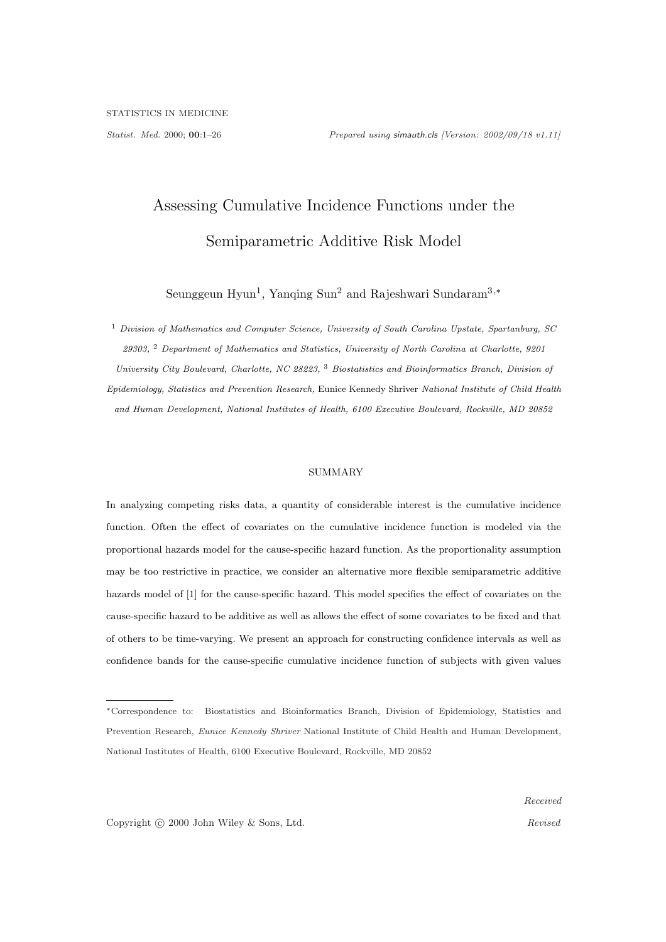# Assessing Cumulative Incidence Functions under the Semiparametric Additive Risk Model

Seunggeun Hyun<sup>1</sup>, Yanqing Sun<sup>2</sup> and Rajeshwari Sundaram<sup>3,\*</sup>

<sup>1</sup> Division of Mathematics and Computer Science, University of South Carolina Upstate, Spartanburg, SC 29303, <sup>2</sup> Department of Mathematics and Statistics, University of North Carolina at Charlotte, 9201 University City Boulevard, Charlotte, NC 28223, <sup>3</sup> Biostatistics and Bioinformatics Branch, Division of Epidemiology, Statistics and Prevention Research, Eunice Kennedy Shriver National Institute of Child Health and Human Development, National Institutes of Health, 6100 Executive Boulevard, Rockville, MD 20852

## SUMMARY

In analyzing competing risks data, a quantity of considerable interest is the cumulative incidence function. Often the effect of covariates on the cumulative incidence function is modeled via the proportional hazards model for the cause-specific hazard function. As the proportionality assumption may be too restrictive in practice, we consider an alternative more flexible semiparametric additive hazards model of [1] for the cause-specific hazard. This model specifies the effect of covariates on the cause-specific hazard to be additive as well as allows the effect of some covariates to be fixed and that of others to be time-varying. We present an approach for constructing confidence intervals as well as confidence bands for the cause-specific cumulative incidence function of subjects with given values

Copyright © 2000 John Wiley & Sons, Ltd. Revised

<sup>∗</sup>Correspondence to: Biostatistics and Bioinformatics Branch, Division of Epidemiology, Statistics and Prevention Research, Eunice Kennedy Shriver National Institute of Child Health and Human Development, National Institutes of Health, 6100 Executive Boulevard, Rockville, MD 20852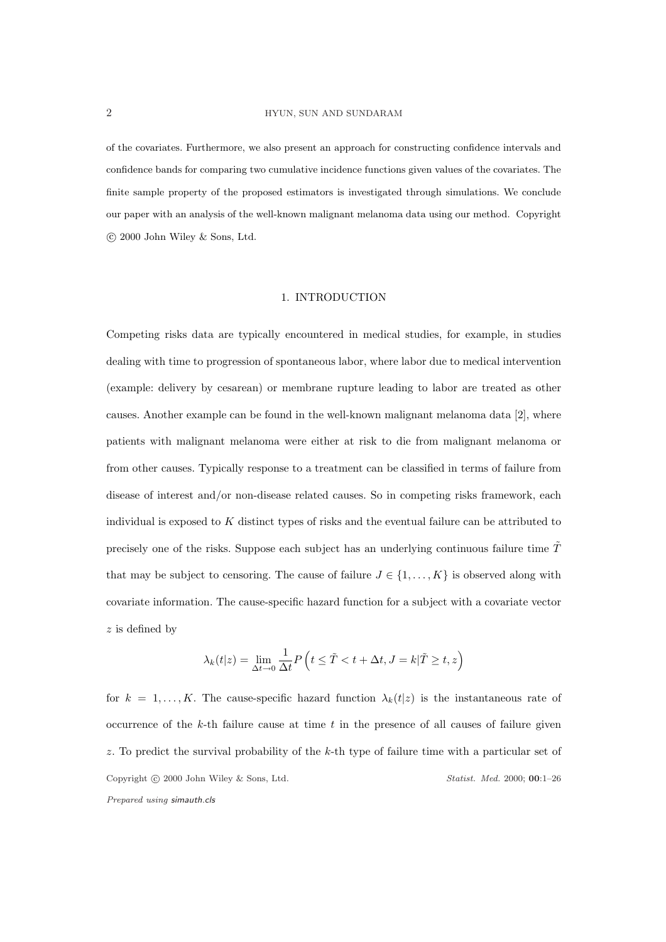#### 2 HYUN, SUN AND SUNDARAM

of the covariates. Furthermore, we also present an approach for constructing confidence intervals and confidence bands for comparing two cumulative incidence functions given values of the covariates. The finite sample property of the proposed estimators is investigated through simulations. We conclude our paper with an analysis of the well-known malignant melanoma data using our method. Copyright °c 2000 John Wiley & Sons, Ltd.

### 1. INTRODUCTION

Competing risks data are typically encountered in medical studies, for example, in studies dealing with time to progression of spontaneous labor, where labor due to medical intervention (example: delivery by cesarean) or membrane rupture leading to labor are treated as other causes. Another example can be found in the well-known malignant melanoma data [2], where patients with malignant melanoma were either at risk to die from malignant melanoma or from other causes. Typically response to a treatment can be classified in terms of failure from disease of interest and/or non-disease related causes. So in competing risks framework, each individual is exposed to  $K$  distinct types of risks and the eventual failure can be attributed to precisely one of the risks. Suppose each subject has an underlying continuous failure time  $\hat{T}$ that may be subject to censoring. The cause of failure  $J \in \{1, \ldots, K\}$  is observed along with covariate information. The cause-specific hazard function for a subject with a covariate vector z is defined by

$$
\lambda_k(t|z) = \lim_{\Delta t \to 0} \frac{1}{\Delta t} P\left(t \leq \tilde{T} < t + \Delta t, J = k|\tilde{T} \geq t, z\right)
$$

for  $k = 1, ..., K$ . The cause-specific hazard function  $\lambda_k(t|z)$  is the instantaneous rate of occurrence of the  $k$ -th failure cause at time  $t$  in the presence of all causes of failure given z. To predict the survival probability of the k-th type of failure time with a particular set of Copyright © 2000 John Wiley & Sons, Ltd. Statist. Med. 2000; 00:1-26 Prepared using simauth.cls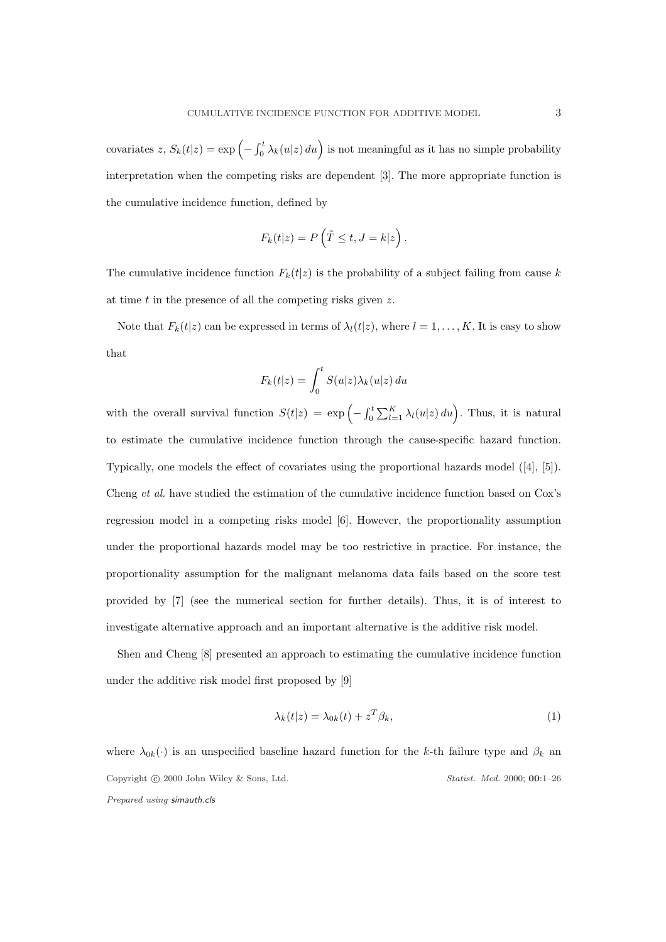covariates z,  $S_k(t|z) = \exp\left(-\int_0^t$  $\int_0^t \lambda_k(u|z) du$  is not meaningful as it has no simple probability interpretation when the competing risks are dependent [3]. The more appropriate function is the cumulative incidence function, defined by

$$
F_k(t|z) = P\left(\tilde{T} \le t, J = k|z\right).
$$

The cumulative incidence function  $F_k(t|z)$  is the probability of a subject failing from cause k at time  $t$  in the presence of all the competing risks given  $z$ .

Note that  $F_k(t|z)$  can be expressed in terms of  $\lambda_l(t|z)$ , where  $l = 1, \ldots, K$ . It is easy to show that

$$
F_k(t|z) = \int_0^t S(u|z)\lambda_k(u|z) du
$$

with the overall survival function  $S(t|z) = \exp\left(-\int_0^t$ 0  $\sum_{l=1}^{K} \lambda_l(u|z) du$ . Thus, it is natural to estimate the cumulative incidence function through the cause-specific hazard function. Typically, one models the effect of covariates using the proportional hazards model ([4], [5]). Cheng et al. have studied the estimation of the cumulative incidence function based on Cox's regression model in a competing risks model [6]. However, the proportionality assumption under the proportional hazards model may be too restrictive in practice. For instance, the proportionality assumption for the malignant melanoma data fails based on the score test provided by [7] (see the numerical section for further details). Thus, it is of interest to investigate alternative approach and an important alternative is the additive risk model.

Shen and Cheng [8] presented an approach to estimating the cumulative incidence function under the additive risk model first proposed by [9]

$$
\lambda_k(t|z) = \lambda_{0k}(t) + z^T \beta_k,\tag{1}
$$

where  $\lambda_{0k}(\cdot)$  is an unspecified baseline hazard function for the k-th failure type and  $\beta_k$  and Copyright © 2000 John Wiley & Sons, Ltd. Statist. Med. 2000; 00:1-26 Prepared using simauth.cls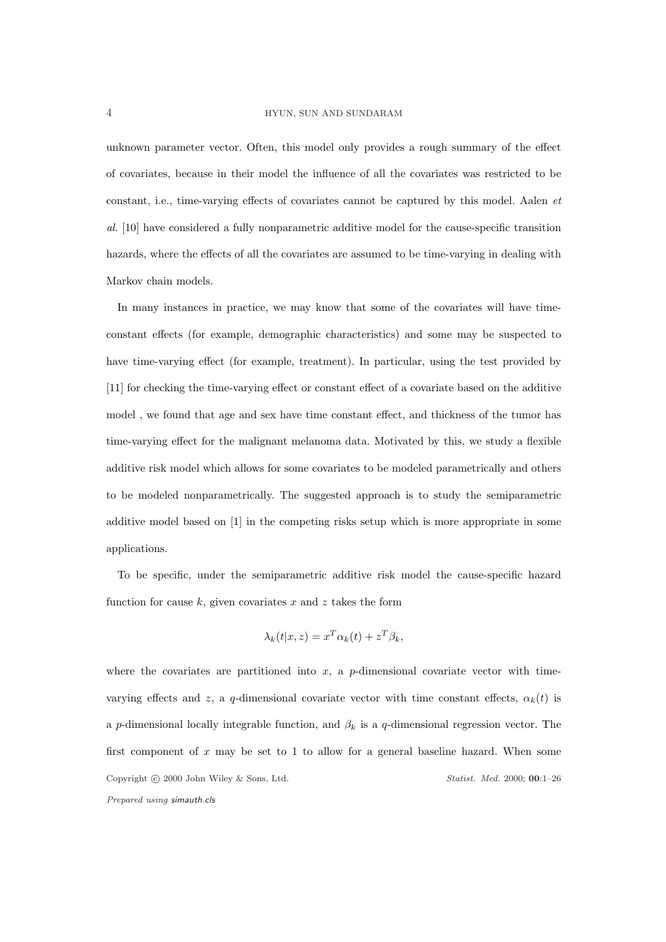#### 4 HYUN, SUN AND SUNDARAM

unknown parameter vector. Often, this model only provides a rough summary of the effect of covariates, because in their model the influence of all the covariates was restricted to be constant, i.e., time-varying effects of covariates cannot be captured by this model. Aalen et al. [10] have considered a fully nonparametric additive model for the cause-specific transition hazards, where the effects of all the covariates are assumed to be time-varying in dealing with Markov chain models.

In many instances in practice, we may know that some of the covariates will have timeconstant effects (for example, demographic characteristics) and some may be suspected to have time-varying effect (for example, treatment). In particular, using the test provided by [11] for checking the time-varying effect or constant effect of a covariate based on the additive model , we found that age and sex have time constant effect, and thickness of the tumor has time-varying effect for the malignant melanoma data. Motivated by this, we study a flexible additive risk model which allows for some covariates to be modeled parametrically and others to be modeled nonparametrically. The suggested approach is to study the semiparametric additive model based on [1] in the competing risks setup which is more appropriate in some applications.

To be specific, under the semiparametric additive risk model the cause-specific hazard function for cause k, given covariates x and z takes the form

$$
\lambda_k(t|x, z) = x^T \alpha_k(t) + z^T \beta_k,
$$

where the covariates are partitioned into  $x$ , a p-dimensional covariate vector with timevarying effects and z, a q-dimensional covariate vector with time constant effects,  $\alpha_k(t)$  is a p-dimensional locally integrable function, and  $\beta_k$  is a q-dimensional regression vector. The first component of  $x$  may be set to 1 to allow for a general baseline hazard. When some Copyright © 2000 John Wiley & Sons, Ltd. Statist. Med. 2000; 00:1-26 Prepared using simauth.cls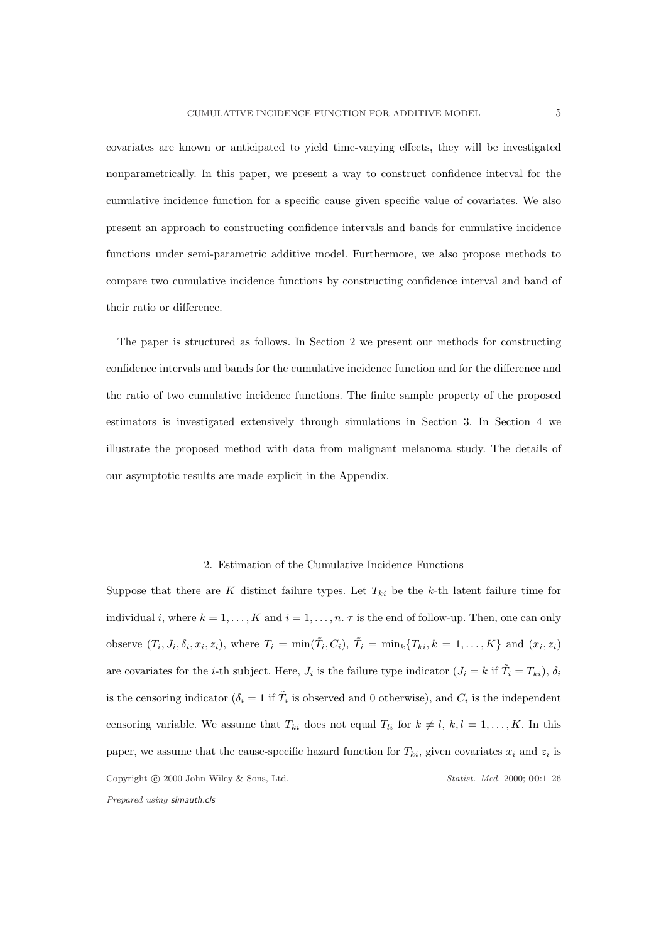covariates are known or anticipated to yield time-varying effects, they will be investigated nonparametrically. In this paper, we present a way to construct confidence interval for the cumulative incidence function for a specific cause given specific value of covariates. We also present an approach to constructing confidence intervals and bands for cumulative incidence functions under semi-parametric additive model. Furthermore, we also propose methods to compare two cumulative incidence functions by constructing confidence interval and band of their ratio or difference.

The paper is structured as follows. In Section 2 we present our methods for constructing confidence intervals and bands for the cumulative incidence function and for the difference and the ratio of two cumulative incidence functions. The finite sample property of the proposed estimators is investigated extensively through simulations in Section 3. In Section 4 we illustrate the proposed method with data from malignant melanoma study. The details of our asymptotic results are made explicit in the Appendix.

#### 2. Estimation of the Cumulative Incidence Functions

Suppose that there are K distinct failure types. Let  $T_{ki}$  be the k-th latent failure time for individual i, where  $k = 1, \ldots, K$  and  $i = 1, \ldots, n$ .  $\tau$  is the end of follow-up. Then, one can only observe  $(T_i, J_i, \delta_i, x_i, z_i)$ , where  $T_i = \min(\tilde{T}_i, C_i)$ ,  $\tilde{T}_i = \min_k \{T_{ki}, k = 1, ..., K\}$  and  $(x_i, z_i)$ are covariates for the *i*-th subject. Here,  $J_i$  is the failure type indicator  $(J_i = k \text{ if } \tilde{T}_i = T_{ki}), \delta_i$ is the censoring indicator ( $\delta_i = 1$  if  $\tilde{T}_i$  is observed and 0 otherwise), and  $C_i$  is the independent censoring variable. We assume that  $T_{ki}$  does not equal  $T_{li}$  for  $k \neq l, k, l = 1, ..., K$ . In this paper, we assume that the cause-specific hazard function for  $T_{ki}$ , given covariates  $x_i$  and  $z_i$  is Copyright © 2000 John Wiley & Sons, Ltd. Statist. Med. 2000; 00:1-26 Prepared using simauth.cls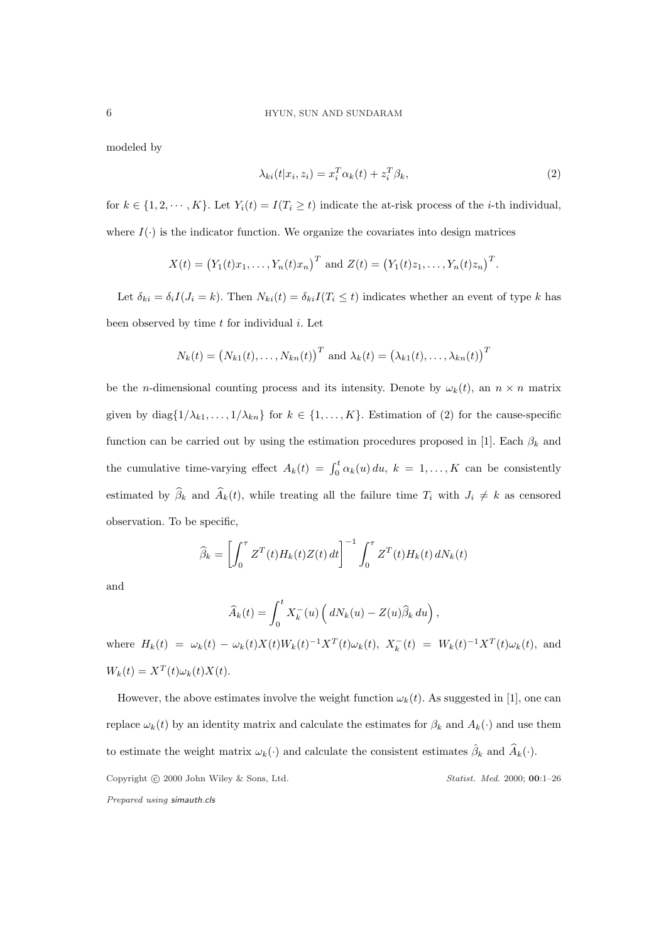modeled by

$$
\lambda_{ki}(t|x_i, z_i) = x_i^T \alpha_k(t) + z_i^T \beta_k,
$$
\n(2)

for  $k \in \{1, 2, \dots, K\}$ . Let  $Y_i(t) = I(T_i \geq t)$  indicate the at-risk process of the *i*-th individual, where  $I(\cdot)$  is the indicator function. We organize the covariates into design matrices

$$
X(t) = (Y_1(t)x_1,..., Y_n(t)x_n)^T
$$
 and  $Z(t) = (Y_1(t)z_1,..., Y_n(t)z_n)^T$ .

Let  $\delta_{ki} = \delta_i I(J_i = k)$ . Then  $N_{ki}(t) = \delta_{ki} I(T_i \leq t)$  indicates whether an event of type k has been observed by time  $t$  for individual  $i$ . Let

$$
N_k(t) = (N_{k1}(t), \ldots, N_{kn}(t))^T
$$
 and  $\lambda_k(t) = (\lambda_{k1}(t), \ldots, \lambda_{kn}(t))^T$ 

be the n-dimensional counting process and its intensity. Denote by  $\omega_k(t)$ , an  $n \times n$  matrix given by  $diag\{1/\lambda_{k1}, \ldots, 1/\lambda_{kn}\}\$  for  $k \in \{1, \ldots, K\}$ . Estimation of (2) for the cause-specific function can be carried out by using the estimation procedures proposed in [1]. Each  $\beta_k$  and the cumulative time-varying effect  $A_k(t) = \int_0^t \alpha_k(u) du$ ,  $k = 1, ..., K$  can be consistently estimated by  $\widehat{\beta}_k$  and  $\widehat{A}_k(t)$ , while treating all the failure time  $T_i$  with  $J_i \neq k$  as censored observation. To be specific,

$$
\widehat{\beta}_k = \left[ \int_0^{\tau} Z^T(t) H_k(t) Z(t) dt \right]^{-1} \int_0^{\tau} Z^T(t) H_k(t) dN_k(t)
$$

and

$$
\widehat{A}_k(t) = \int_0^t X_k^-(u) \left( dN_k(u) - Z(u) \widehat{\beta}_k du \right),
$$

where  $H_k(t) = \omega_k(t) - \omega_k(t) X(t) W_k(t)^{-1} X^T(t) \omega_k(t)$ ,  $X_k^-(t) = W_k(t)^{-1} X^T(t) \omega_k(t)$ , and  $W_k(t) = X^T(t)\omega_k(t)X(t).$ 

However, the above estimates involve the weight function  $\omega_k(t)$ . As suggested in [1], one can replace  $\omega_k(t)$  by an identity matrix and calculate the estimates for  $\beta_k$  and  $A_k(\cdot)$  and use them to estimate the weight matrix  $\omega_k(\cdot)$  and calculate the consistent estimates  $\hat{\beta}_k$  and  $\widehat{A}_k(\cdot)$ . Copyright © 2000 John Wiley & Sons, Ltd. Statist. Med. 2000; 00:1-26 Prepared using simauth.cls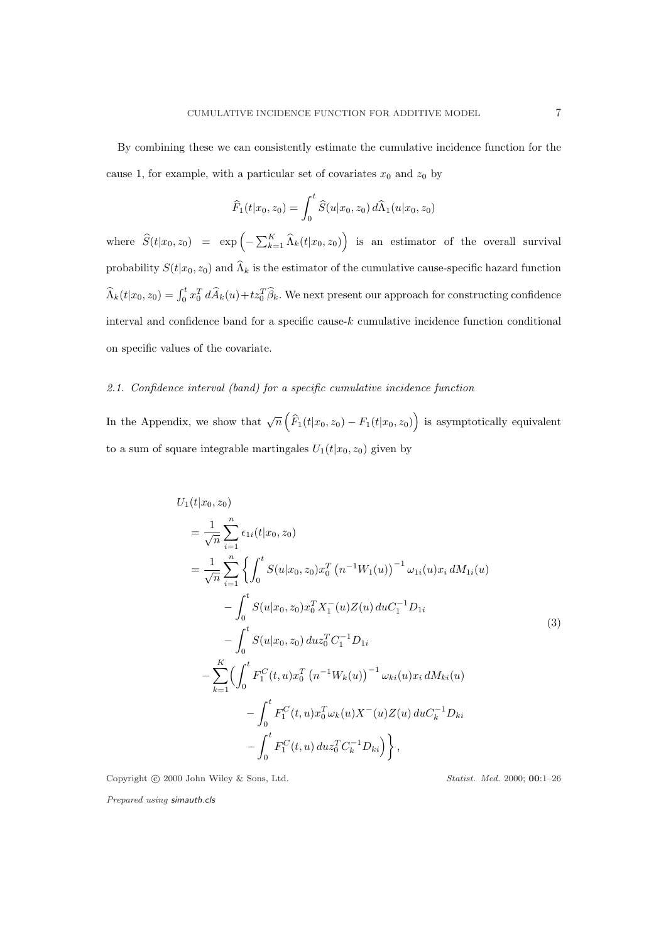By combining these we can consistently estimate the cumulative incidence function for the cause 1, for example, with a particular set of covariates  $x_0$  and  $z_0$  by

$$
\widehat{F}_1(t|x_0, z_0) = \int_0^t \widehat{S}(u|x_0, z_0) d\widehat{\Lambda}_1(u|x_0, z_0)
$$

where  $\widehat{S}(t|x_0, z_0) = \exp\left(-\sum_{k=1}^K \widehat{\Lambda}_k(t|x_0, z_0)\right)$ ´ is an estimator of the overall survival probability  $S(t|x_0, z_0)$  and  $\widehat{\Lambda}_k$  is the estimator of the cumulative cause-specific hazard function  $\widehat{\Lambda}_k(t|x_0, z_0) = \int_0^t x_0^T d\widehat{A}_k(u) + tz_0^T \widehat{\beta}_k$ . We next present our approach for constructing confidence interval and confidence band for a specific cause-k cumulative incidence function conditional on specific values of the covariate.

# 2.1. Confidence interval (band) for a specific cumulative incidence function

In the Appendix, we show that  $\sqrt{n}$  $\overline{a}$  $\widehat{F}_1(t|x_0, z_0) - F_1(t|x_0, z_0)$ ´ is asymptotically equivalent to a sum of square integrable martingales  $U_1(t|x_0, z_0)$  given by

$$
U_{1}(t|x_{0}, z_{0})
$$
\n
$$
= \frac{1}{\sqrt{n}} \sum_{i=1}^{n} \epsilon_{1i}(t|x_{0}, z_{0})
$$
\n
$$
= \frac{1}{\sqrt{n}} \sum_{i=1}^{n} \left\{ \int_{0}^{t} S(u|x_{0}, z_{0}) x_{0}^{T} (n^{-1}W_{1}(u))^{-1} \omega_{1i}(u)x_{i} dM_{1i}(u) - \int_{0}^{t} S(u|x_{0}, z_{0}) x_{0}^{T} X_{1}^{-}(u) Z(u) duc_{1}^{-1} D_{1i} - \int_{0}^{t} S(u|x_{0}, z_{0}) duz_{0}^{T} C_{1}^{-1} D_{1i} - \sum_{k=1}^{K} \left( \int_{0}^{t} F_{1}^{C}(t, u) x_{0}^{T} (n^{-1}W_{k}(u))^{-1} \omega_{ki}(u)x_{i} dM_{ki}(u) - \int_{0}^{t} F_{1}^{C}(t, u) x_{0}^{T} \omega_{k}(u) X^{-}(u) Z(u) duc_{k}^{-1} D_{ki} - \int_{0}^{t} F_{1}^{C}(t, u) duz_{0}^{T} C_{k}^{-1} D_{ki} \right\},
$$
\n(3)

Copyright © 2000 John Wiley & Sons, Ltd. Statist. Med. 2000; 00:1-26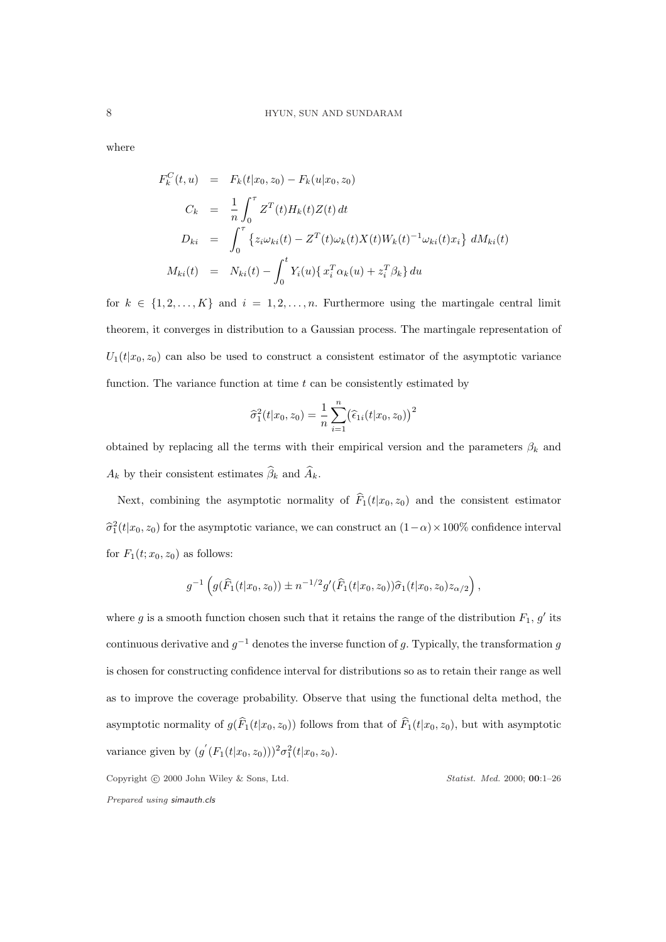where

$$
F_k^C(t, u) = F_k(t|x_0, z_0) - F_k(u|x_0, z_0)
$$
  
\n
$$
C_k = \frac{1}{n} \int_0^{\tau} Z^T(t) H_k(t) Z(t) dt
$$
  
\n
$$
D_{ki} = \int_0^{\tau} \{z_i \omega_{ki}(t) - Z^T(t) \omega_k(t) X(t) W_k(t)^{-1} \omega_{ki}(t) x_i\} dM_{ki}(t)
$$
  
\n
$$
M_{ki}(t) = N_{ki}(t) - \int_0^t Y_i(u) \{x_i^T \alpha_k(u) + z_i^T \beta_k\} du
$$

for  $k \in \{1, 2, ..., K\}$  and  $i = 1, 2, ..., n$ . Furthermore using the martingale central limit theorem, it converges in distribution to a Gaussian process. The martingale representation of  $U_1(t|x_0, z_0)$  can also be used to construct a consistent estimator of the asymptotic variance function. The variance function at time  $t$  can be consistently estimated by

$$
\widehat{\sigma}_1^2(t|x_0, z_0) = \frac{1}{n} \sum_{i=1}^n (\widehat{\epsilon}_{1i}(t|x_0, z_0))^2
$$

obtained by replacing all the terms with their empirical version and the parameters  $\beta_k$  and  $A_k$  by their consistent estimates  $\widehat{\beta}_k$  and  $\widehat{A}_k.$ 

Next, combining the asymptotic normality of  $\widehat{F}_1(t|x_0, z_0)$  and the consistent estimator  $\hat{\sigma}_1^2(t|x_0, z_0)$  for the asymptotic variance, we can construct an  $(1-\alpha) \times 100\%$  confidence interval for  $F_1(t; x_0, z_0)$  as follows:

$$
g^{-1}\left(g(\widehat{F}_1(t|x_0,z_0))\pm n^{-1/2}g'(\widehat{F}_1(t|x_0,z_0))\widehat{\sigma}_1(t|x_0,z_0)z_{\alpha/2}\right),\,
$$

where g is a smooth function chosen such that it retains the range of the distribution  $F_1$ , g' its continuous derivative and  $g^{-1}$  denotes the inverse function of g. Typically, the transformation g is chosen for constructing confidence interval for distributions so as to retain their range as well as to improve the coverage probability. Observe that using the functional delta method, the asymptotic normality of  $g(\widehat{F}_1(t|x_0, z_0))$  follows from that of  $\widehat{F}_1(t|x_0, z_0)$ , but with asymptotic variance given by  $(g'(F_1(t|x_0,z_0)))^2 \sigma_1^2(t|x_0,z_0)$ .

Copyright © 2000 John Wiley & Sons, Ltd. Statist. Med. 2000; 00:1-26 Prepared using simauth.cls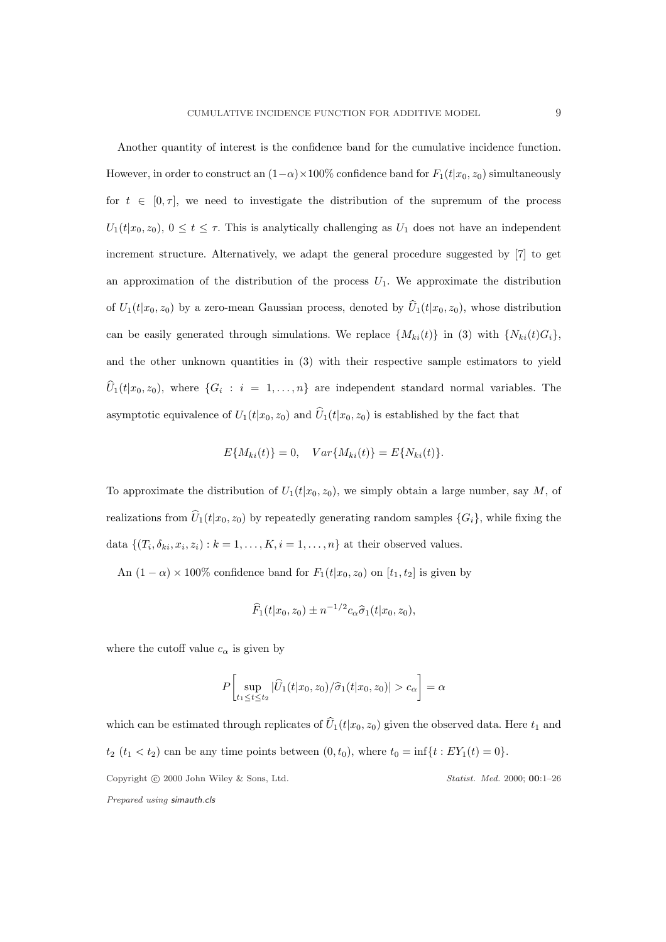Another quantity of interest is the confidence band for the cumulative incidence function. However, in order to construct an  $(1-\alpha) \times 100\%$  confidence band for  $F_1(t|x_0, z_0)$  simultaneously for  $t \in [0, \tau]$ , we need to investigate the distribution of the supremum of the process  $U_1(t|x_0, z_0), 0 \le t \le \tau$ . This is analytically challenging as  $U_1$  does not have an independent increment structure. Alternatively, we adapt the general procedure suggested by [7] to get an approximation of the distribution of the process  $U_1$ . We approximate the distribution of  $U_1(t|x_0, z_0)$  by a zero-mean Gaussian process, denoted by  $\widehat{U}_1(t|x_0, z_0)$ , whose distribution can be easily generated through simulations. We replace  $\{M_{ki}(t)\}\$ in (3) with  $\{N_{ki}(t)G_i\}$ , and the other unknown quantities in (3) with their respective sample estimators to yield  $\widehat{U}_1(t|x_0, z_0)$ , where  $\{G_i : i = 1, ..., n\}$  are independent standard normal variables. The asymptotic equivalence of  $U_1(t|x_0, z_0)$  and  $\hat{U}_1(t|x_0, z_0)$  is established by the fact that

$$
E\{M_{ki}(t)\} = 0, \quad Var\{M_{ki}(t)\} = E\{N_{ki}(t)\}.
$$

To approximate the distribution of  $U_1(t|x_0, z_0)$ , we simply obtain a large number, say M, of realizations from  $\widehat{U}_1(t|x_0, z_0)$  by repeatedly generating random samples  $\{G_i\}$ , while fixing the data  $\{(T_i, \delta_{ki}, x_i, z_i) : k = 1, \ldots, K, i = 1, \ldots, n\}$  at their observed values.

An  $(1 - \alpha) \times 100\%$  confidence band for  $F_1(t|x_0, z_0)$  on  $[t_1, t_2]$  is given by

$$
\widehat{F}_1(t|x_0, z_0) \pm n^{-1/2} c_\alpha \widehat{\sigma}_1(t|x_0, z_0),
$$

where the cutoff value  $c_{\alpha}$  is given by

$$
P\bigg[\sup_{t_1 \le t \le t_2} |\widehat{U}_1(t|x_0, z_0)/\widehat{\sigma}_1(t|x_0, z_0)| > c_{\alpha}\bigg] = \alpha
$$

which can be estimated through replicates of  $\widehat{U}_1(t|x_0, z_0)$  given the observed data. Here  $t_1$  and  $t_2$   $(t_1 < t_2)$  can be any time points between  $(0, t_0)$ , where  $t_0 = \inf\{t : EY_1(t) = 0\}.$ Copyright © 2000 John Wiley & Sons, Ltd. Statist. Med. 2000; 00:1-26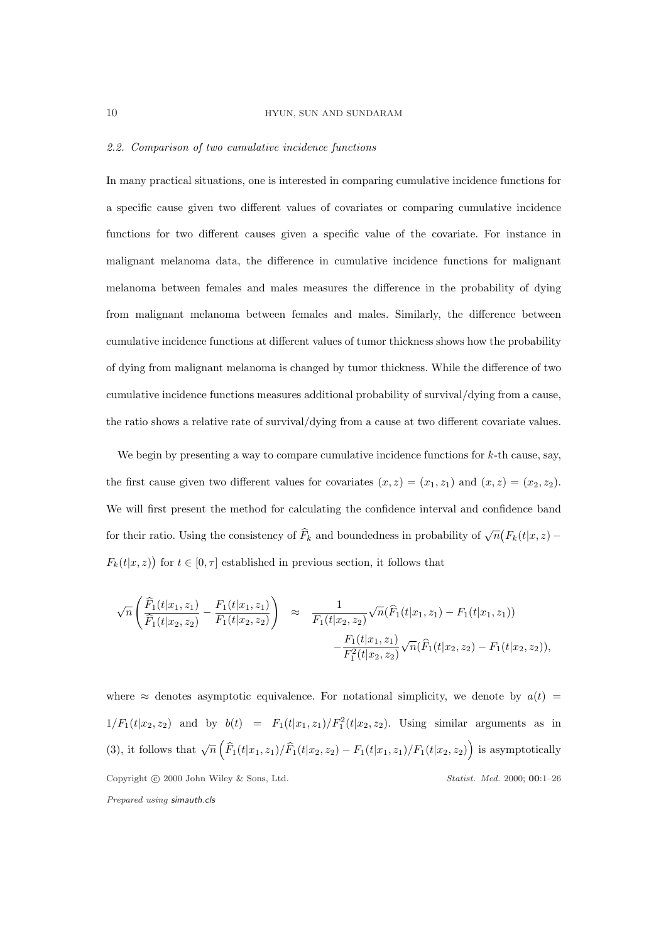#### 2.2. Comparison of two cumulative incidence functions

In many practical situations, one is interested in comparing cumulative incidence functions for a specific cause given two different values of covariates or comparing cumulative incidence functions for two different causes given a specific value of the covariate. For instance in malignant melanoma data, the difference in cumulative incidence functions for malignant melanoma between females and males measures the difference in the probability of dying from malignant melanoma between females and males. Similarly, the difference between cumulative incidence functions at different values of tumor thickness shows how the probability of dying from malignant melanoma is changed by tumor thickness. While the difference of two cumulative incidence functions measures additional probability of survival/dying from a cause, the ratio shows a relative rate of survival/dying from a cause at two different covariate values.

We begin by presenting a way to compare cumulative incidence functions for  $k$ -th cause, say, the first cause given two different values for covariates  $(x, z) = (x_1, z_1)$  and  $(x, z) = (x_2, z_2)$ . We will first present the method for calculating the confidence interval and confidence band for their ratio. Using the consistency of  $\widehat{F}_k$  and boundedness in probability of  $\sqrt{n}$ ¡  $F_k(t|x,z)$  –  $F_k(t|x,z)$ ¢ for  $t \in [0, \tau]$  established in previous section, it follows that

$$
\sqrt{n}\left(\frac{\widehat{F}_1(t|x_1,z_1)}{\widehat{F}_1(t|x_2,z_2)} - \frac{F_1(t|x_1,z_1)}{F_1(t|x_2,z_2)}\right) \approx \frac{1}{F_1(t|x_2,z_2)}\sqrt{n}(\widehat{F}_1(t|x_1,z_1) - F_1(t|x_1,z_1)) -\frac{F_1(t|x_1,z_1)}{F_1^2(t|x_2,z_2)}\sqrt{n}(\widehat{F}_1(t|x_2,z_2) - F_1(t|x_2,z_2)),
$$

where  $\approx$  denotes asymptotic equivalence. For notational simplicity, we denote by  $a(t)$  =  $1/F_1(t|x_2, z_2)$  and by  $b(t) = F_1(t|x_1, z_1)/F_1^2(t|x_2, z_2)$ . Using similar arguments as in (3), it follows that  $\sqrt{n}$  $\overline{a}$  $\widehat{F}_1(t|x_1, z_1)/\widehat{F}_1(t|x_2, z_2) - F_1(t|x_1, z_1)/F_1(t|x_2, z_2)$ ´ is asymptotically Copyright © 2000 John Wiley & Sons, Ltd. Statist. Med. 2000; 00:1-26 Prepared using simauth.cls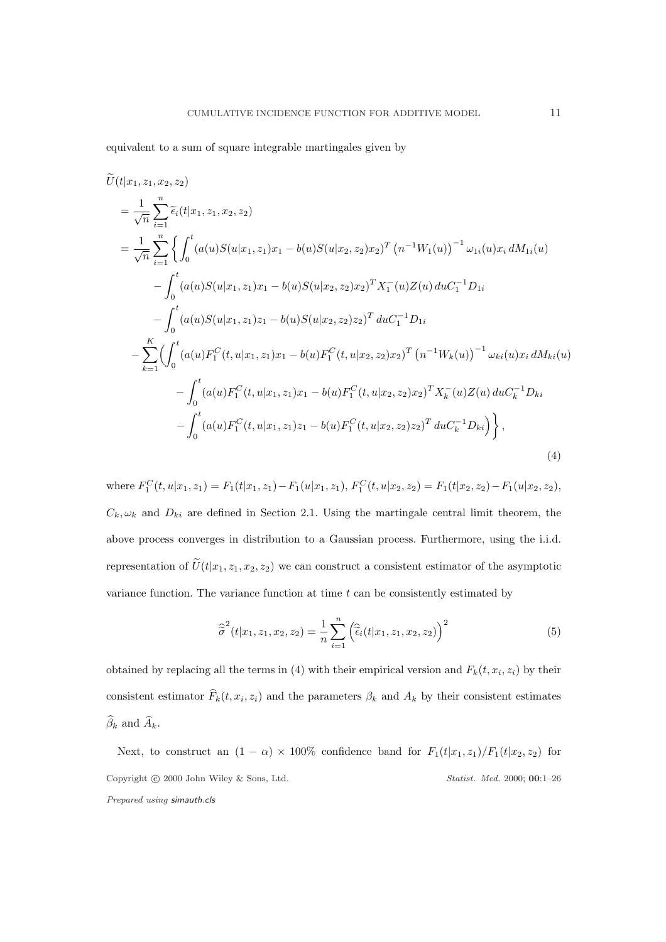equivalent to a sum of square integrable martingales given by

$$
\widetilde{U}(t|x_1, z_1, x_2, z_2)
$$
\n
$$
= \frac{1}{\sqrt{n}} \sum_{i=1}^n \widetilde{\epsilon}_i(t|x_1, z_1, x_2, z_2)
$$
\n
$$
= \frac{1}{\sqrt{n}} \sum_{i=1}^n \left\{ \int_0^t (a(u)S(u|x_1, z_1)x_1 - b(u)S(u|x_2, z_2)x_2)^T (n^{-1}W_1(u))^{-1} \omega_{1i}(u)x_i dM_{1i}(u) \right\}
$$
\n
$$
- \int_0^t (a(u)S(u|x_1, z_1)x_1 - b(u)S(u|x_2, z_2)x_2)^T X_1^-(u)Z(u) duc_1^{-1}D_{1i}
$$
\n
$$
- \int_0^t (a(u)S(u|x_1, z_1)z_1 - b(u)S(u|x_2, z_2)z_2)^T duc_1^{-1}D_{1i}
$$
\n
$$
- \sum_{k=1}^K \left( \int_0^t (a(u)F_1^C(t, u|x_1, z_1)x_1 - b(u)F_1^C(t, u|x_2, z_2)x_2)^T (n^{-1}W_k(u))^{-1} \omega_{ki}(u)x_i dM_{ki}(u) \right.
$$
\n
$$
- \int_0^t (a(u)F_1^C(t, u|x_1, z_1)x_1 - b(u)F_1^C(t, u|x_2, z_2)x_2)^T X_k^-(u)Z(u) duc_k^{-1}D_{ki}
$$
\n
$$
- \int_0^t (a(u)F_1^C(t, u|x_1, z_1)z_1 - b(u)F_1^C(t, u|x_2, z_2)z_2)^T duc_k^{-1}D_{ki}) \right\},
$$
\n(4)

where  $F_1^C(t, u|x_1, z_1) = F_1(t|x_1, z_1) - F_1(u|x_1, z_1), F_1^C(t, u|x_2, z_2) = F_1(t|x_2, z_2) - F_1(u|x_2, z_2),$  $C_k, \omega_k$  and  $D_{ki}$  are defined in Section 2.1. Using the martingale central limit theorem, the above process converges in distribution to a Gaussian process. Furthermore, using the i.i.d. representation of  $\tilde{U}(t|x_1, z_1, x_2, z_2)$  we can construct a consistent estimator of the asymptotic variance function. The variance function at time  $t$  can be consistently estimated by

$$
\widehat{\sigma}^{2}(t|x_{1}, z_{1}, x_{2}, z_{2}) = \frac{1}{n} \sum_{i=1}^{n} (\widehat{\tilde{\epsilon}}_{i}(t|x_{1}, z_{1}, x_{2}, z_{2}))^{2}
$$
(5)

obtained by replacing all the terms in (4) with their empirical version and  $F_k(t, x_i, z_i)$  by their consistent estimator  $\widehat{F}_k(t, x_i, z_i)$  and the parameters  $\beta_k$  and  $A_k$  by their consistent estimates  $\widehat{\beta}_k$  and  $\widehat{A}_k$ .

Next, to construct an  $(1 - \alpha) \times 100\%$  confidence band for  $F_1(t|x_1, z_1)/F_1(t|x_2, z_2)$  for Copyright © 2000 John Wiley & Sons, Ltd. Statist. Med. 2000; 00:1-26 Prepared using simauth.cls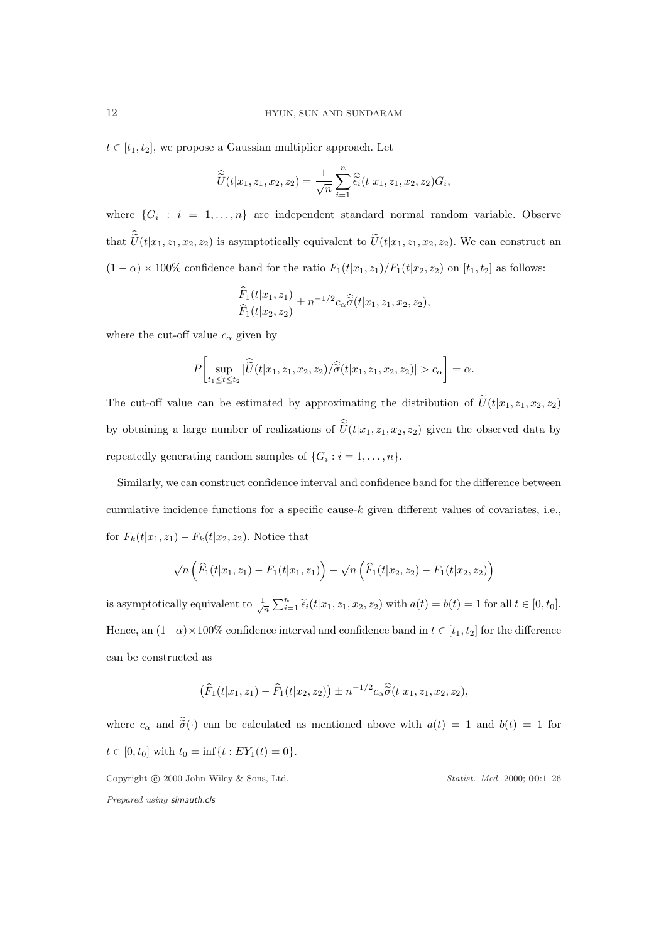$t \in [t_1, t_2]$ , we propose a Gaussian multiplier approach. Let

$$
\widehat{\widetilde{U}}(t|x_1,z_1,x_2,z_2)=\frac{1}{\sqrt{n}}\sum_{i=1}^n\widehat{\widetilde{\epsilon}_i}(t|x_1,z_1,x_2,z_2)G_i,
$$

where  $\{G_i : i = 1, \ldots, n\}$  are independent standard normal random variable. Observe that  $\hat{U}(t|x_1, z_1, x_2, z_2)$  is asymptotically equivalent to  $\tilde{U}(t|x_1, z_1, x_2, z_2)$ . We can construct an  $(1 - \alpha) \times 100\%$  confidence band for the ratio  $F_1(t|x_1, z_1)/F_1(t|x_2, z_2)$  on  $[t_1, t_2]$  as follows:

$$
\frac{\widehat{F}_1(t|x_1, z_1)}{\widehat{F}_1(t|x_2, z_2)} \pm n^{-1/2} c_\alpha \widehat{\widetilde{\sigma}}(t|x_1, z_1, x_2, z_2),
$$

where the cut-off value  $c_{\alpha}$  given by

$$
P\bigg[\sup_{t_1\leq t\leq t_2}|\widehat{\widetilde{U}}(t|x_1,z_1,x_2,z_2)/\widehat{\widetilde{\sigma}}(t|x_1,z_1,x_2,z_2)|>c_{\alpha}\bigg]=\alpha.
$$

The cut-off value can be estimated by approximating the distribution of  $\tilde{U}(t|x_1, z_1, x_2, z_2)$ by obtaining a large number of realizations of  $\hat{U}(t|x_1, z_1, x_2, z_2)$  given the observed data by repeatedly generating random samples of  $\{G_i : i = 1, \ldots, n\}.$ 

Similarly, we can construct confidence interval and confidence band for the difference between cumulative incidence functions for a specific cause-k given different values of covariates, i.e., for  $F_k(t|x_1, z_1) - F_k(t|x_2, z_2)$ . Notice that

$$
\sqrt{n}\left(\widehat{F}_1(t|x_1,z_1)-F_1(t|x_1,z_1)\right)-\sqrt{n}\left(\widehat{F}_1(t|x_2,z_2)-F_1(t|x_2,z_2)\right)
$$

is asymptotically equivalent to  $\frac{1}{\sqrt{n}}$  $\sum_{i=1}^{n} \tilde{\epsilon}_i(t|x_1, z_1, x_2, z_2)$  with  $a(t) = b(t) = 1$  for all  $t \in [0, t_0]$ . Hence, an  $(1-\alpha) \times 100\%$  confidence interval and confidence band in  $t \in [t_1, t_2]$  for the difference can be constructed as

$$
(\widehat{F}_1(t|x_1,z_1) - \widehat{F}_1(t|x_2,z_2)) \pm n^{-1/2} c_{\alpha} \widehat{\tilde{\sigma}}(t|x_1,z_1,x_2,z_2),
$$

where  $c_{\alpha}$  and  $\hat{\tilde{\sigma}}(\cdot)$  can be calculated as mentioned above with  $a(t) = 1$  and  $b(t) = 1$  for  $t \in [0, t_0]$  with  $t_0 = \inf\{t : EY_1(t) = 0\}.$ 

Copyright © 2000 John Wiley & Sons, Ltd. Statist. Med. 2000; 00:1-26 Prepared using simauth.cls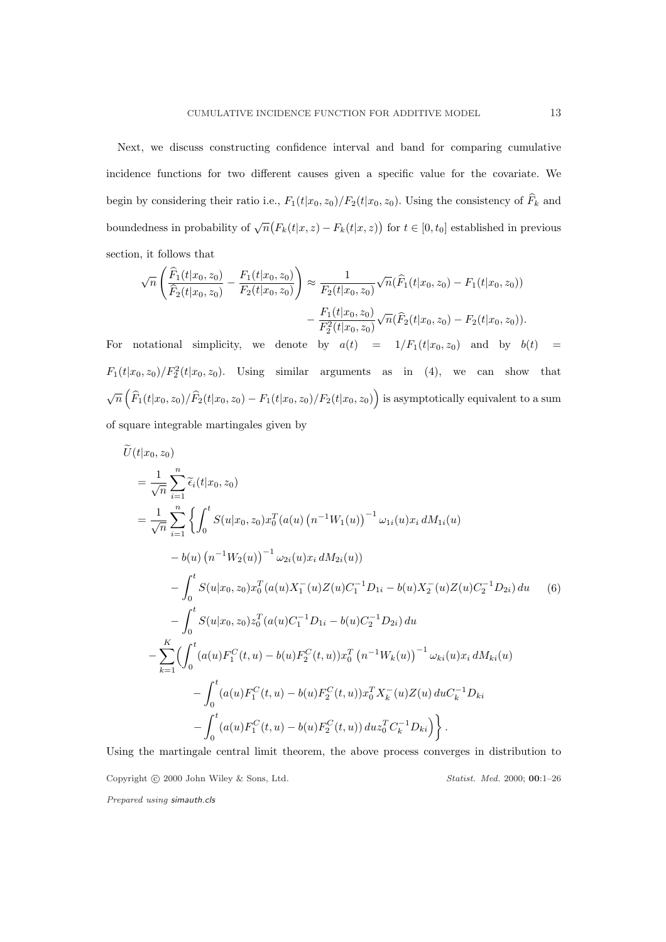Next, we discuss constructing confidence interval and band for comparing cumulative incidence functions for two different causes given a specific value for the covariate. We begin by considering their ratio i.e.,  $F_1(t|x_0, z_0)/F_2(t|x_0, z_0)$ . Using the consistency of  $\widehat{F}_k$  and boundedness in probability of  $\sqrt{n}$ ¡  $F_k(t|x, z) - F_k(t|x, z)$ ¢ for  $t \in [0, t_0]$  established in previous section, it follows that

$$
\sqrt{n}\left(\frac{\widehat{F}_1(t|x_0,z_0)}{\widehat{F}_2(t|x_0,z_0)} - \frac{F_1(t|x_0,z_0)}{F_2(t|x_0,z_0)}\right) \approx \frac{1}{F_2(t|x_0,z_0)}\sqrt{n}(\widehat{F}_1(t|x_0,z_0) - F_1(t|x_0,z_0)) -\frac{F_1(t|x_0,z_0)}{F_2^2(t|x_0,z_0)}\sqrt{n}(\widehat{F}_2(t|x_0,z_0) - F_2(t|x_0,z_0)).
$$

For notational simplicity, we denote by  $a(t) = 1/F_1(t|x_0, z_0)$  and by  $b(t) =$  $F_1(t|x_0, z_0)/F_2^2(t|x_0, z_0)$ . Using similar arguments as in (4), we can show that  $\sqrt{n}$  $\overline{a}$  $\widehat{F}_1(t|x_0, z_0)/\widehat{F}_2(t|x_0, z_0) - F_1(t|x_0, z_0)/F_2(t|x_0, z_0)$ ´ is asymptotically equivalent to a sum of square integrable martingales given by

$$
\widetilde{U}(t|x_0, z_0)
$$
\n
$$
= \frac{1}{\sqrt{n}} \sum_{i=1}^n \widetilde{\epsilon}_i(t|x_0, z_0)
$$
\n
$$
= \frac{1}{\sqrt{n}} \sum_{i=1}^n \left\{ \int_0^t S(u|x_0, z_0) x_0^T(a(u) (n^{-1}W_1(u))^{-1} \omega_{1i}(u) x_i dM_{1i}(u) - b(u) (n^{-1}W_2(u))^{-1} \omega_{2i}(u) x_i dM_{2i}(u) \right\}
$$
\n
$$
- \int_0^t S(u|x_0, z_0) x_0^T(a(u) X_1^-(u) Z(u) C_1^{-1} D_{1i} - b(u) X_2^-(u) Z(u) C_2^{-1} D_{2i}) du \quad (6)
$$
\n
$$
- \int_0^t S(u|x_0, z_0) z_0^T(a(u) C_1^{-1} D_{1i} - b(u) C_2^{-1} D_{2i}) du
$$
\n
$$
- \sum_{k=1}^K \left( \int_0^t (a(u) F_1^C(t, u) - b(u) F_2^C(t, u)) x_0^T(n^{-1}W_k(u))^{-1} \omega_{ki}(u) x_i dM_{ki}(u) - \int_0^t (a(u) F_1^C(t, u) - b(u) F_2^C(t, u)) x_0^T X_k^-(u) Z(u) duc_k^{-1} D_{ki}
$$
\n
$$
- \int_0^t (a(u) F_1^C(t, u) - b(u) F_2^C(t, u)) duc_0^T C_k^{-1} D_{ki}) \right\}.
$$

Using the martingale central limit theorem, the above process converges in distribution to Copyright © 2000 John Wiley & Sons, Ltd. Statist. Med. 2000; 00:1-26 Prepared using simauth.cls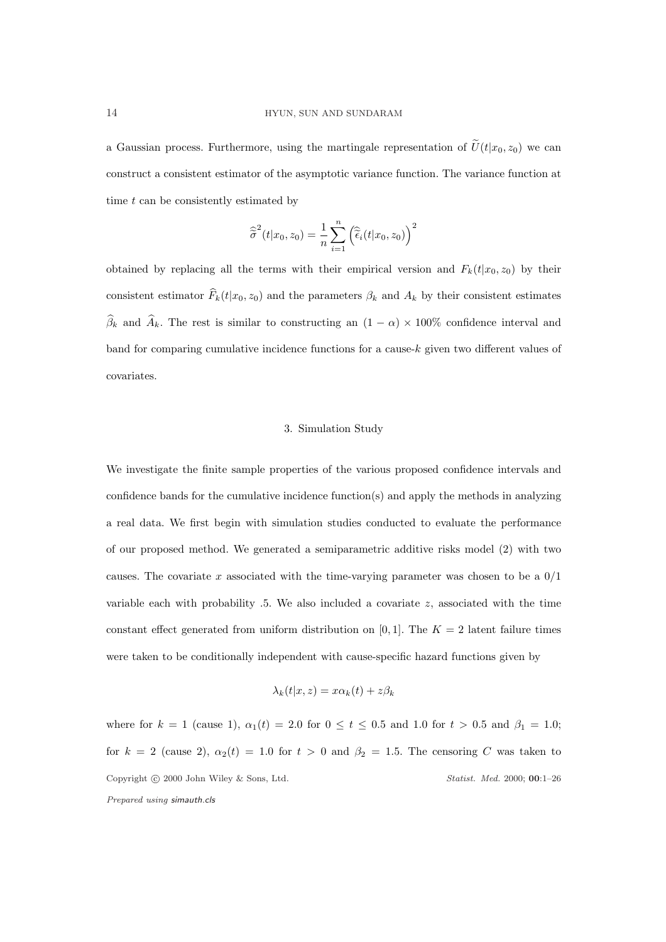a Gaussian process. Furthermore, using the martingale representation of  $\tilde{U}(t|x_0, z_0)$  we can construct a consistent estimator of the asymptotic variance function. The variance function at time  $t$  can be consistently estimated by

$$
\widehat{\widetilde{\sigma}}^{2}(t|x_{0}, z_{0}) = \frac{1}{n} \sum_{i=1}^{n} (\widehat{\widetilde{\epsilon}}_{i}(t|x_{0}, z_{0}))^{2}
$$

obtained by replacing all the terms with their empirical version and  $F_k(t|x_0, z_0)$  by their consistent estimator  $\widehat{F}_k(t|x_0, z_0)$  and the parameters  $\beta_k$  and  $A_k$  by their consistent estimates  $\hat{\beta}_k$  and  $\hat{A}_k$ . The rest is similar to constructing an  $(1 - \alpha) \times 100\%$  confidence interval and band for comparing cumulative incidence functions for a cause-k given two different values of covariates.

## 3. Simulation Study

We investigate the finite sample properties of the various proposed confidence intervals and confidence bands for the cumulative incidence function(s) and apply the methods in analyzing a real data. We first begin with simulation studies conducted to evaluate the performance of our proposed method. We generated a semiparametric additive risks model (2) with two causes. The covariate x associated with the time-varying parameter was chosen to be a  $0/1$ variable each with probability  $.5.$  We also included a covariate  $z$ , associated with the time constant effect generated from uniform distribution on [0, 1]. The  $K = 2$  latent failure times were taken to be conditionally independent with cause-specific hazard functions given by

$$
\lambda_k(t|x,z) = x\alpha_k(t) + z\beta_k
$$

where for  $k = 1$  (cause 1),  $\alpha_1(t) = 2.0$  for  $0 \le t \le 0.5$  and 1.0 for  $t > 0.5$  and  $\beta_1 = 1.0$ ; for  $k = 2$  (cause 2),  $\alpha_2(t) = 1.0$  for  $t > 0$  and  $\beta_2 = 1.5$ . The censoring C was taken to Copyright © 2000 John Wiley & Sons, Ltd. Statist. Med. 2000; 00:1-26 Prepared using simauth.cls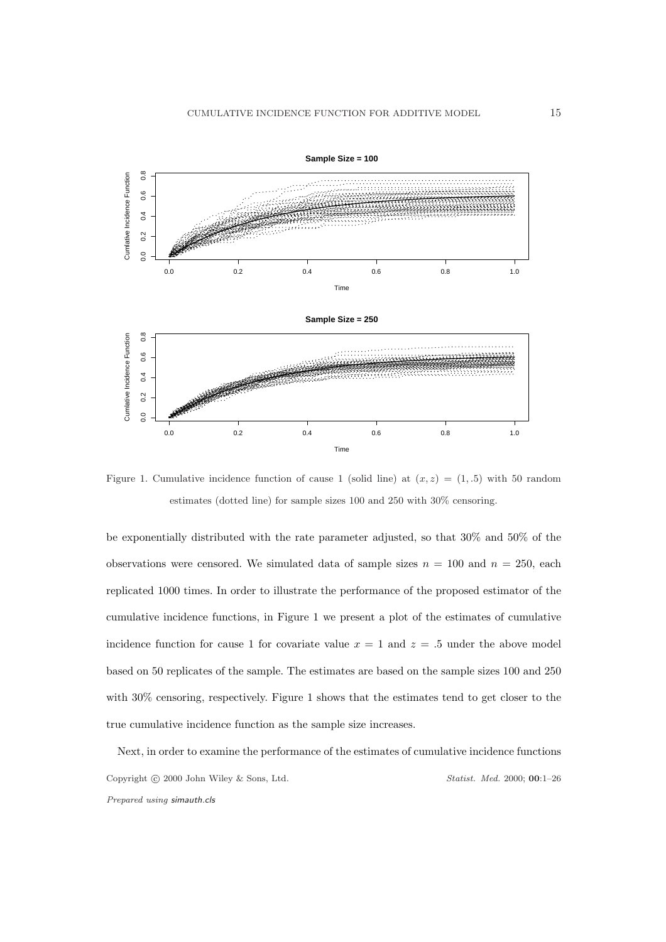

Figure 1. Cumulative incidence function of cause 1 (solid line) at  $(x, z) = (1, .5)$  with 50 random estimates (dotted line) for sample sizes 100 and 250 with 30% censoring.

be exponentially distributed with the rate parameter adjusted, so that 30% and 50% of the observations were censored. We simulated data of sample sizes  $n = 100$  and  $n = 250$ , each replicated 1000 times. In order to illustrate the performance of the proposed estimator of the cumulative incidence functions, in Figure 1 we present a plot of the estimates of cumulative incidence function for cause 1 for covariate value  $x = 1$  and  $z = 0.5$  under the above model based on 50 replicates of the sample. The estimates are based on the sample sizes 100 and 250 with 30% censoring, respectively. Figure 1 shows that the estimates tend to get closer to the true cumulative incidence function as the sample size increases.

Next, in order to examine the performance of the estimates of cumulative incidence functions Copyright © 2000 John Wiley & Sons, Ltd. Statist. Med. 2000; 00:1-26 Prepared using simauth.cls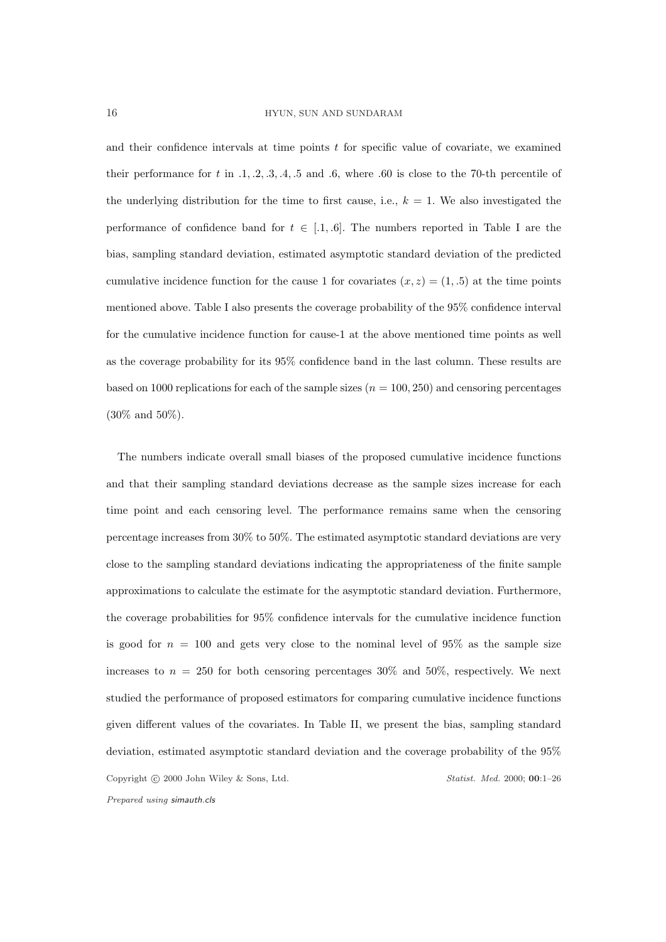and their confidence intervals at time points  $t$  for specific value of covariate, we examined their performance for t in  $.1, .2, .3, .4, .5$  and  $.6$ , where  $.60$  is close to the 70-th percentile of the underlying distribution for the time to first cause, i.e.,  $k = 1$ . We also investigated the performance of confidence band for  $t \in [0.1, 0.6]$ . The numbers reported in Table I are the bias, sampling standard deviation, estimated asymptotic standard deviation of the predicted cumulative incidence function for the cause 1 for covariates  $(x, z) = (1, .5)$  at the time points mentioned above. Table I also presents the coverage probability of the 95% confidence interval for the cumulative incidence function for cause-1 at the above mentioned time points as well as the coverage probability for its 95% confidence band in the last column. These results are based on 1000 replications for each of the sample sizes  $(n = 100, 250)$  and censoring percentages (30% and 50%).

The numbers indicate overall small biases of the proposed cumulative incidence functions and that their sampling standard deviations decrease as the sample sizes increase for each time point and each censoring level. The performance remains same when the censoring percentage increases from 30% to 50%. The estimated asymptotic standard deviations are very close to the sampling standard deviations indicating the appropriateness of the finite sample approximations to calculate the estimate for the asymptotic standard deviation. Furthermore, the coverage probabilities for 95% confidence intervals for the cumulative incidence function is good for  $n = 100$  and gets very close to the nominal level of 95% as the sample size increases to  $n = 250$  for both censoring percentages 30% and 50%, respectively. We next studied the performance of proposed estimators for comparing cumulative incidence functions given different values of the covariates. In Table II, we present the bias, sampling standard deviation, estimated asymptotic standard deviation and the coverage probability of the 95% Copyright © 2000 John Wiley & Sons, Ltd. Statist. Med. 2000; 00:1-26 Prepared using simauth.cls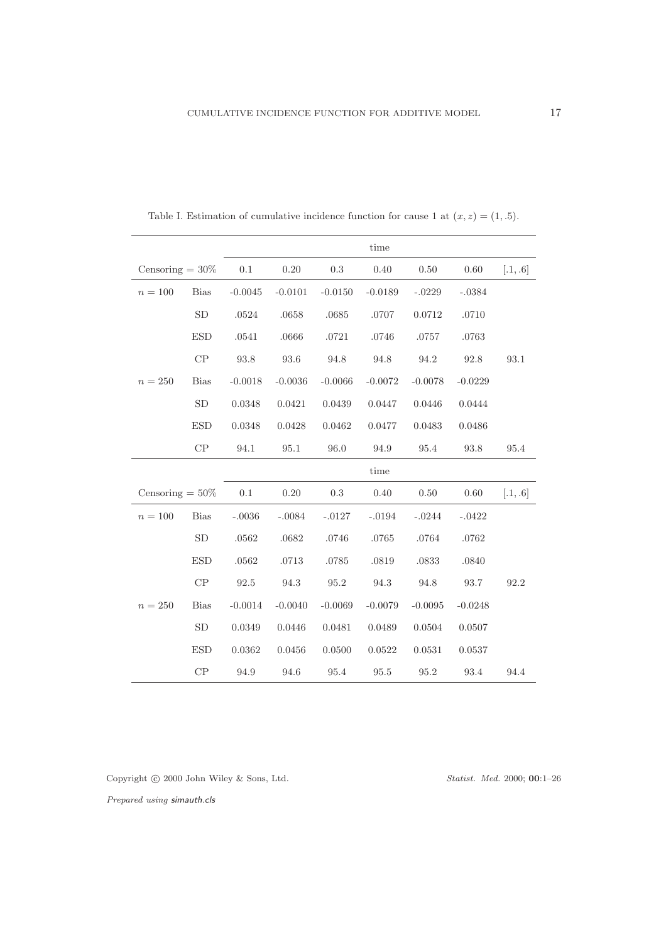|                    |               | time      |           |           |           |           |           |          |
|--------------------|---------------|-----------|-----------|-----------|-----------|-----------|-----------|----------|
| Censoring $= 30\%$ |               | 0.1       | 0.20      | $0.3\,$   | $0.40\,$  | 0.50      | 0.60      | [.1, .6] |
| $n=100$            | <b>Bias</b>   | $-0.0045$ | $-0.0101$ | $-0.0150$ | $-0.0189$ | $-.0229$  | $-.0384$  |          |
|                    | SD            | .0524     | .0658     | .0685     | .0707     | 0.0712    | .0710     |          |
|                    | <b>ESD</b>    | .0541     | .0666     | .0721     | .0746     | .0757     | .0763     |          |
|                    | $\mathrm{CP}$ | $93.8\,$  | $93.6\,$  | 94.8      | 94.8      | $94.2\,$  | 92.8      | 93.1     |
| $n = 250$          | <b>Bias</b>   | $-0.0018$ | $-0.0036$ | $-0.0066$ | $-0.0072$ | $-0.0078$ | $-0.0229$ |          |
|                    | ${\rm SD}$    | 0.0348    | 0.0421    | 0.0439    | 0.0447    | 0.0446    | 0.0444    |          |
|                    | <b>ESD</b>    | 0.0348    | 0.0428    | 0.0462    | 0.0477    | 0.0483    | 0.0486    |          |
|                    | CP            | 94.1      | 95.1      | 96.0      | 94.9      | 95.4      | 93.8      | 95.4     |
|                    |               | time      |           |           |           |           |           |          |
| Censoring $= 50\%$ |               | 0.1       | 0.20      | $0.3\,$   | 0.40      | 0.50      | 0.60      | [.1, .6] |
| $n = 100$          | <b>Bias</b>   | $-.0036$  | $-.0084$  | $-.0127$  | $-.0194$  | $-.0244$  | $-.0422$  |          |
|                    | SD            | .0562     | .0682     | .0746     | .0765     | .0764     | .0762     |          |
|                    | <b>ESD</b>    | .0562     | .0713     | .0785     | .0819     | .0833     | .0840     |          |
|                    | CP            | 92.5      | 94.3      | 95.2      | $94.3\,$  | 94.8      | 93.7      | 92.2     |
| $n = 250$          | <b>Bias</b>   | $-0.0014$ | $-0.0040$ | $-0.0069$ | $-0.0079$ | $-0.0095$ | $-0.0248$ |          |
|                    | ${\rm SD}$    | 0.0349    | 0.0446    | 0.0481    | 0.0489    | 0.0504    | 0.0507    |          |
|                    | <b>ESD</b>    | 0.0362    | 0.0456    | 0.0500    | 0.0522    | 0.0531    | 0.0537    |          |
|                    | CP            | 94.9      | 94.6      | 95.4      | 95.5      | 95.2      | 93.4      | 94.4     |

Table I. Estimation of cumulative incidence function for cause 1 at  $(x, z) = (1, .5)$ .

Copyright  $\odot$  2000 John Wiley & Sons, Ltd.  $\hfill \textit{Statist. Med. 2000; O0:1-26}$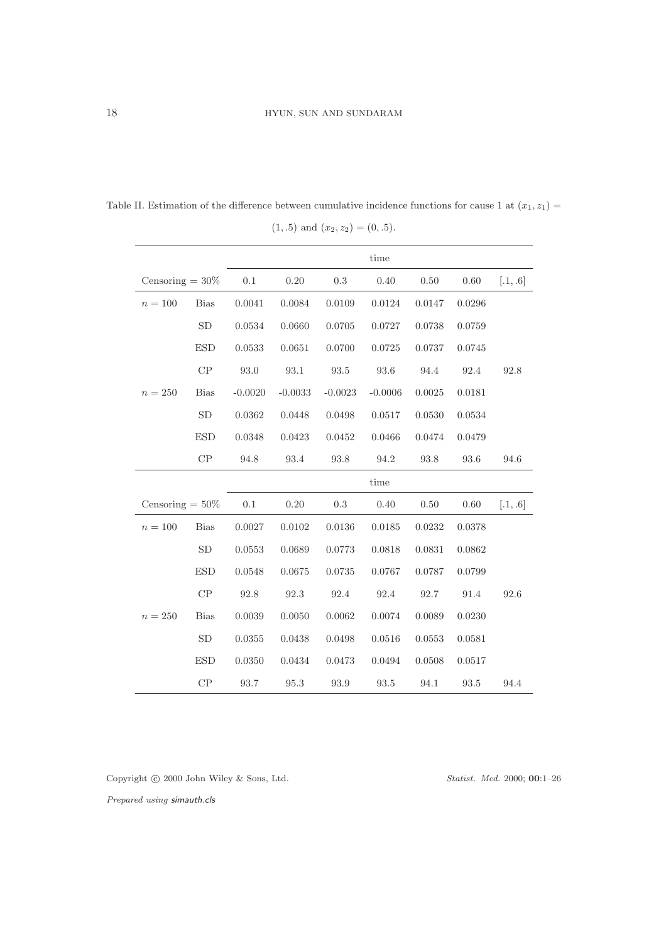|                    |             | time         |           |           |           |          |          |          |
|--------------------|-------------|--------------|-----------|-----------|-----------|----------|----------|----------|
| Censoring $= 30\%$ |             | 0.1          | 0.20      | 0.3       | 0.40      | 0.50     | 0.60     | [.1, .6] |
| $n = 100$          | <b>Bias</b> | 0.0041       | 0.0084    | 0.0109    | 0.0124    | 0.0147   | 0.0296   |          |
|                    | SD          | 0.0534       | 0.0660    | 0.0705    | 0.0727    | 0.0738   | 0.0759   |          |
|                    | <b>ESD</b>  | $\,0.0533\,$ | 0.0651    | 0.0700    | 0.0725    | 0.0737   | 0.0745   |          |
|                    | CP          | $93.0\,$     | $93.1\,$  | $93.5\,$  | 93.6      | 94.4     | 92.4     | 92.8     |
| $n = 250$          | <b>Bias</b> | $-0.0020$    | $-0.0033$ | $-0.0023$ | $-0.0006$ | 0.0025   | 0.0181   |          |
|                    | <b>SD</b>   | 0.0362       | 0.0448    | 0.0498    | 0.0517    | 0.0530   | 0.0534   |          |
|                    | <b>ESD</b>  | 0.0348       | 0.0423    | 0.0452    | 0.0466    | 0.0474   | 0.0479   |          |
|                    | CP          | 94.8         | 93.4      | 93.8      | 94.2      | $93.8\,$ | 93.6     | 94.6     |
|                    |             |              |           |           | time      |          |          |          |
| Censoring $= 50\%$ |             | $0.1\,$      | 0.20      | $\rm 0.3$ | 0.40      | 0.50     | $0.60\,$ | [.1, .6] |
| $n = 100$          | <b>Bias</b> | 0.0027       | 0.0102    | 0.0136    | 0.0185    | 0.0232   | 0.0378   |          |
|                    | SD          | 0.0553       | 0.0689    | 0.0773    | 0.0818    | 0.0831   | 0.0862   |          |
|                    | <b>ESD</b>  | 0.0548       | 0.0675    | 0.0735    | 0.0767    | 0.0787   | 0.0799   |          |
|                    | CP          | 92.8         | 92.3      | 92.4      | 92.4      | 92.7     | 91.4     | 92.6     |
| $n = 250$          | <b>Bias</b> | 0.0039       | 0.0050    | 0.0062    | 0.0074    | 0.0089   | 0.0230   |          |
|                    | SD          | 0.0355       | 0.0438    | 0.0498    | 0.0516    | 0.0553   | 0.0581   |          |
|                    | <b>ESD</b>  | 0.0350       | 0.0434    | 0.0473    | 0.0494    | 0.0508   | 0.0517   |          |
|                    | CP          | 93.7         | 95.3      | 93.9      | 93.5      | 94.1     | 93.5     | 94.4     |

Table II. Estimation of the difference between cumulative incidence functions for cause 1 at  $(x_1, z_1)$  =  $(1, .5)$  and  $(x_2, z_2) = (0, .5)$ .

Copyright © 2000 John Wiley & Sons, Ltd. Statist. Med. 2000; 00:1–26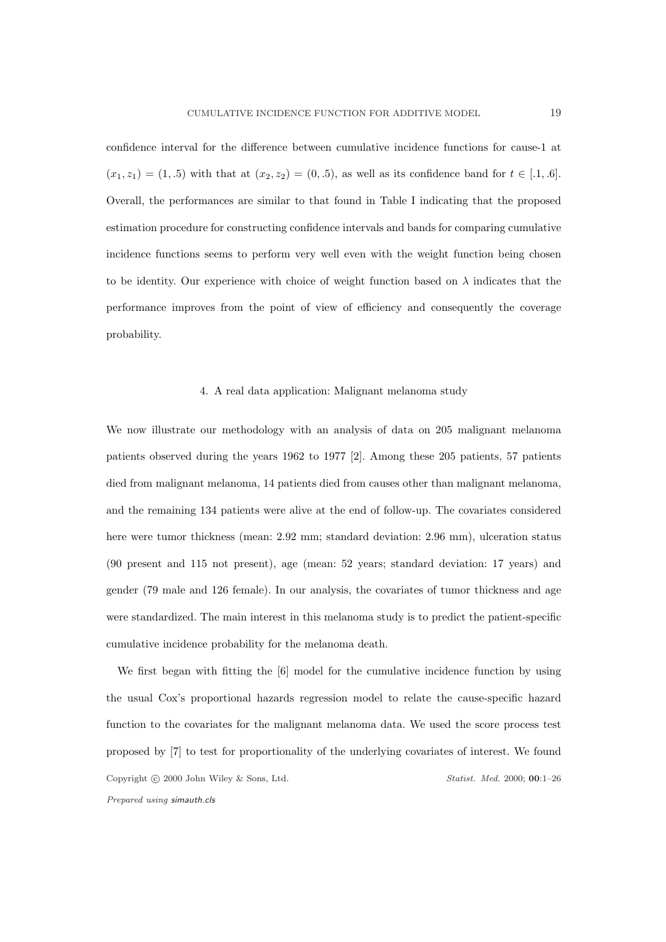confidence interval for the difference between cumulative incidence functions for cause-1 at  $(x_1, z_1) = (1, .5)$  with that at  $(x_2, z_2) = (0, .5)$ , as well as its confidence band for  $t \in [.1, .6]$ . Overall, the performances are similar to that found in Table I indicating that the proposed estimation procedure for constructing confidence intervals and bands for comparing cumulative incidence functions seems to perform very well even with the weight function being chosen to be identity. Our experience with choice of weight function based on  $\lambda$  indicates that the performance improves from the point of view of efficiency and consequently the coverage probability.

## 4. A real data application: Malignant melanoma study

We now illustrate our methodology with an analysis of data on 205 malignant melanoma patients observed during the years 1962 to 1977 [2]. Among these 205 patients, 57 patients died from malignant melanoma, 14 patients died from causes other than malignant melanoma, and the remaining 134 patients were alive at the end of follow-up. The covariates considered here were tumor thickness (mean: 2.92 mm; standard deviation: 2.96 mm), ulceration status (90 present and 115 not present), age (mean: 52 years; standard deviation: 17 years) and gender (79 male and 126 female). In our analysis, the covariates of tumor thickness and age were standardized. The main interest in this melanoma study is to predict the patient-specific cumulative incidence probability for the melanoma death.

We first began with fitting the [6] model for the cumulative incidence function by using the usual Cox's proportional hazards regression model to relate the cause-specific hazard function to the covariates for the malignant melanoma data. We used the score process test proposed by [7] to test for proportionality of the underlying covariates of interest. We found Copyright © 2000 John Wiley & Sons, Ltd. Statist. Med. 2000; 00:1-26 Prepared using simauth.cls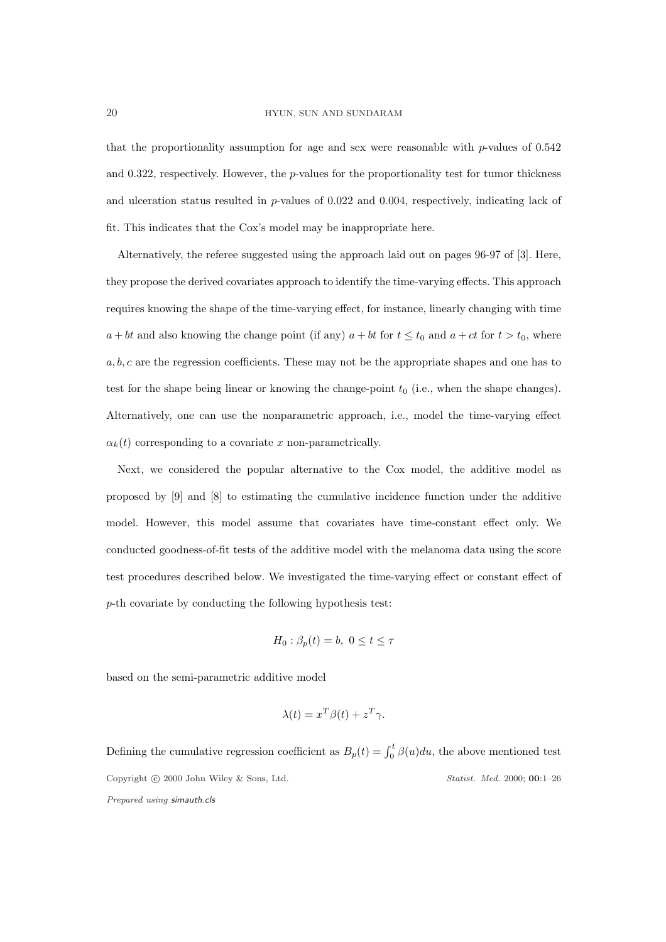#### 20 HYUN, SUN AND SUNDARAM

that the proportionality assumption for age and sex were reasonable with  $p$ -values of  $0.542$ and  $0.322$ , respectively. However, the *p*-values for the proportionality test for tumor thickness and ulceration status resulted in  $p$ -values of 0.022 and 0.004, respectively, indicating lack of fit. This indicates that the Cox's model may be inappropriate here.

Alternatively, the referee suggested using the approach laid out on pages 96-97 of [3]. Here, they propose the derived covariates approach to identify the time-varying effects. This approach requires knowing the shape of the time-varying effect, for instance, linearly changing with time  $a + bt$  and also knowing the change point (if any)  $a + bt$  for  $t \le t_0$  and  $a + ct$  for  $t > t_0$ , where  $a, b, c$  are the regression coefficients. These may not be the appropriate shapes and one has to test for the shape being linear or knowing the change-point  $t_0$  (i.e., when the shape changes). Alternatively, one can use the nonparametric approach, i.e., model the time-varying effect  $\alpha_k(t)$  corresponding to a covariate x non-parametrically.

Next, we considered the popular alternative to the Cox model, the additive model as proposed by [9] and [8] to estimating the cumulative incidence function under the additive model. However, this model assume that covariates have time-constant effect only. We conducted goodness-of-fit tests of the additive model with the melanoma data using the score test procedures described below. We investigated the time-varying effect or constant effect of p-th covariate by conducting the following hypothesis test:

$$
H_0: \beta_p(t) = b, \ 0 \le t \le \tau
$$

based on the semi-parametric additive model

$$
\lambda(t) = x^T \beta(t) + z^T \gamma.
$$

Defining the cumulative regression coefficient as  $B_p(t) = \int_0^t \beta(u) du$ , the above mentioned test Copyright © 2000 John Wiley & Sons, Ltd. Statist. Med. 2000; 00:1-26 Prepared using simauth.cls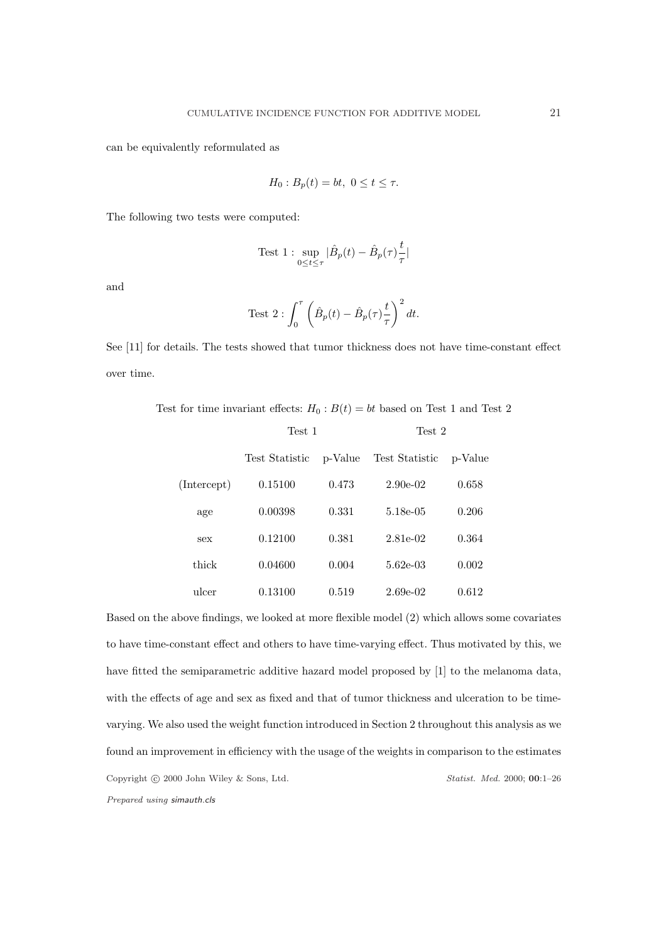can be equivalently reformulated as

$$
H_0: B_p(t) = bt, \ 0 \le t \le \tau.
$$

The following two tests were computed:

Test 1 : 
$$
\sup_{0\leq t\leq \tau}|\hat{B}_p(t)-\hat{B}_p(\tau)\frac{t}{\tau}|
$$

and

Test 
$$
2: \int_0^{\tau} \left( \hat{B}_p(t) - \hat{B}_p(\tau) \frac{t}{\tau} \right)^2 dt
$$
.

See [11] for details. The tests showed that tumor thickness does not have time-constant effect over time.

Test for time invariant effects:  $H_0 : B(t) = bt$  based on Test 1 and Test 2

|             | Test 1         |         | Test 2         |         |  |  |
|-------------|----------------|---------|----------------|---------|--|--|
|             | Test Statistic | p-Value | Test Statistic | p-Value |  |  |
| (Intercept) | 0.15100        | 0.473   | $2.90e-02$     | 0.658   |  |  |
| age         | 0.00398        | 0.331   | 5.18e-05       | 0.206   |  |  |
| sex         | 0.12100        | 0.381   | 2.81e-02       | 0.364   |  |  |
| thick       | 0.04600        | 0.004   | $5.62e-0.3$    | 0.002   |  |  |
| ulcer       | 0.13100        | 0.519   | $2.69e-02$     | 0.612   |  |  |

Based on the above findings, we looked at more flexible model (2) which allows some covariates to have time-constant effect and others to have time-varying effect. Thus motivated by this, we have fitted the semiparametric additive hazard model proposed by [1] to the melanoma data, with the effects of age and sex as fixed and that of tumor thickness and ulceration to be timevarying. We also used the weight function introduced in Section 2 throughout this analysis as we found an improvement in efficiency with the usage of the weights in comparison to the estimates Copyright © 2000 John Wiley & Sons, Ltd. Statist. Med. 2000; 00:1-26 Prepared using simauth.cls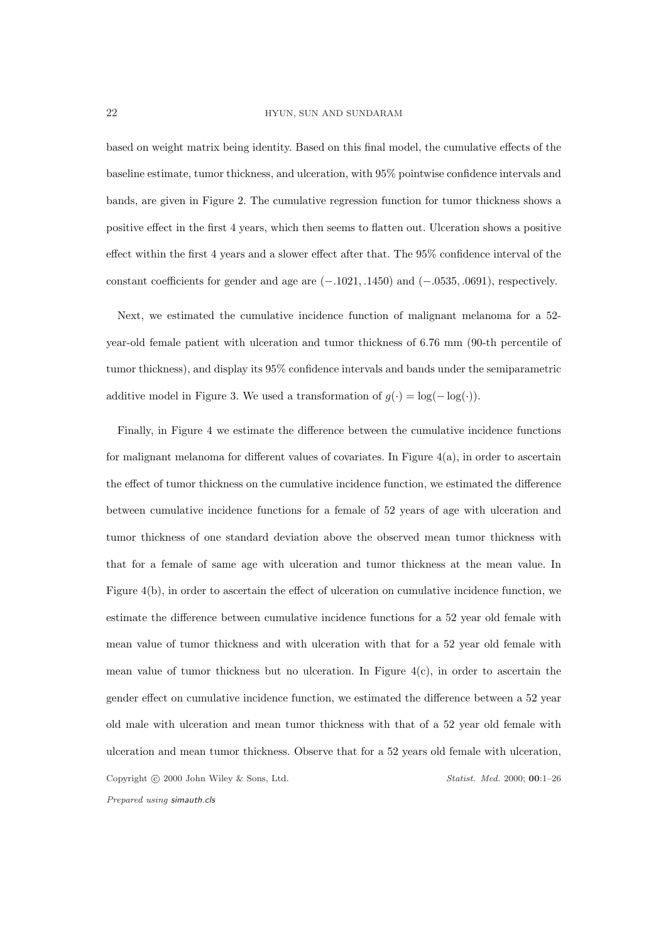based on weight matrix being identity. Based on this final model, the cumulative effects of the baseline estimate, tumor thickness, and ulceration, with 95% pointwise confidence intervals and bands, are given in Figure 2. The cumulative regression function for tumor thickness shows a positive effect in the first 4 years, which then seems to flatten out. Ulceration shows a positive effect within the first 4 years and a slower effect after that. The 95% confidence interval of the constant coefficients for gender and age are (−.1021, .1450) and (−.0535, .0691), respectively.

Next, we estimated the cumulative incidence function of malignant melanoma for a 52 year-old female patient with ulceration and tumor thickness of 6.76 mm (90-th percentile of tumor thickness), and display its 95% confidence intervals and bands under the semiparametric additive model in Figure 3. We used a transformation of  $g(\cdot) = \log(-\log(\cdot)).$ 

Finally, in Figure 4 we estimate the difference between the cumulative incidence functions for malignant melanoma for different values of covariates. In Figure 4(a), in order to ascertain the effect of tumor thickness on the cumulative incidence function, we estimated the difference between cumulative incidence functions for a female of 52 years of age with ulceration and tumor thickness of one standard deviation above the observed mean tumor thickness with that for a female of same age with ulceration and tumor thickness at the mean value. In Figure 4(b), in order to ascertain the effect of ulceration on cumulative incidence function, we estimate the difference between cumulative incidence functions for a 52 year old female with mean value of tumor thickness and with ulceration with that for a 52 year old female with mean value of tumor thickness but no ulceration. In Figure  $4(c)$ , in order to ascertain the gender effect on cumulative incidence function, we estimated the difference between a 52 year old male with ulceration and mean tumor thickness with that of a 52 year old female with ulceration and mean tumor thickness. Observe that for a 52 years old female with ulceration, Copyright © 2000 John Wiley & Sons, Ltd. Statist. Med. 2000; 00:1-26 Prepared using simauth.cls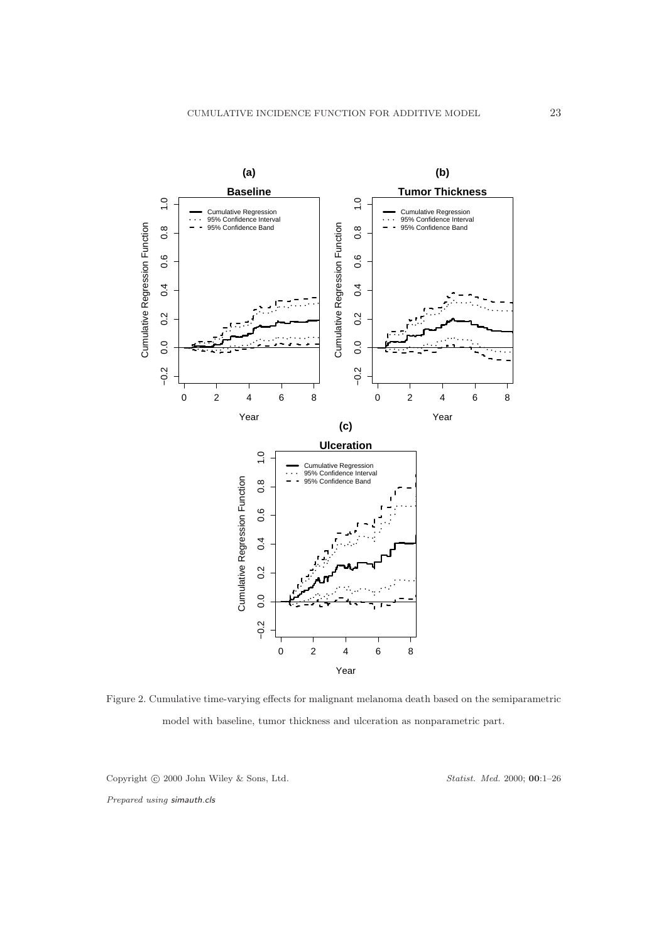

Figure 2. Cumulative time-varying effects for malignant melanoma death based on the semiparametric model with baseline, tumor thickness and ulceration as nonparametric part.

Copyright © 2000 John Wiley & Sons, Ltd. Statist. Med. 2000; 00:1-26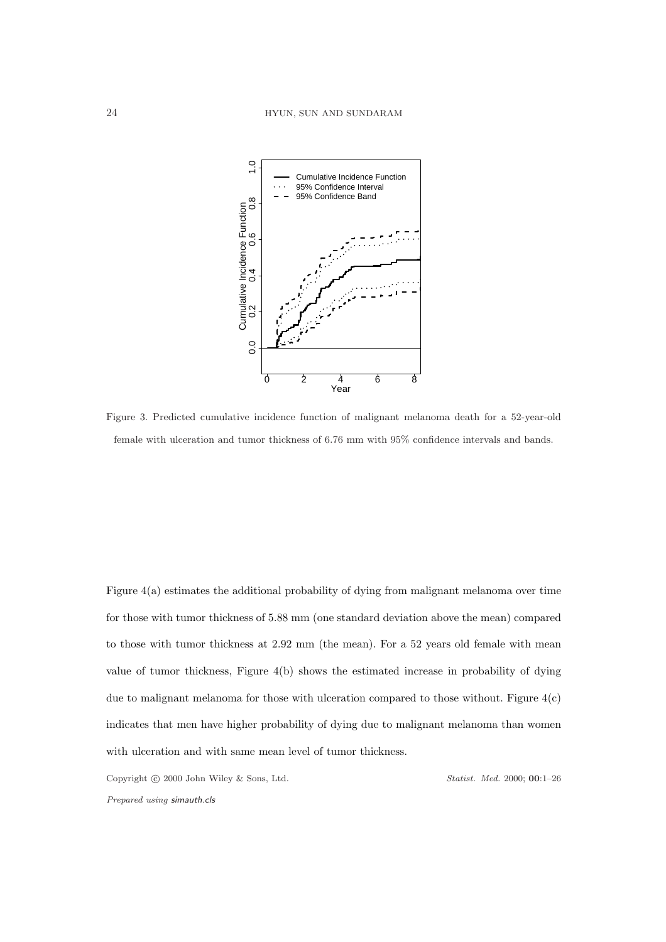

Figure 3. Predicted cumulative incidence function of malignant melanoma death for a 52-year-old female with ulceration and tumor thickness of 6.76 mm with 95% confidence intervals and bands.

Figure 4(a) estimates the additional probability of dying from malignant melanoma over time for those with tumor thickness of 5.88 mm (one standard deviation above the mean) compared to those with tumor thickness at 2.92 mm (the mean). For a 52 years old female with mean value of tumor thickness, Figure 4(b) shows the estimated increase in probability of dying due to malignant melanoma for those with ulceration compared to those without. Figure 4(c) indicates that men have higher probability of dying due to malignant melanoma than women with ulceration and with same mean level of tumor thickness.

Copyright © 2000 John Wiley & Sons, Ltd. Statist. Med. 2000; 00:1-26 Prepared using simauth.cls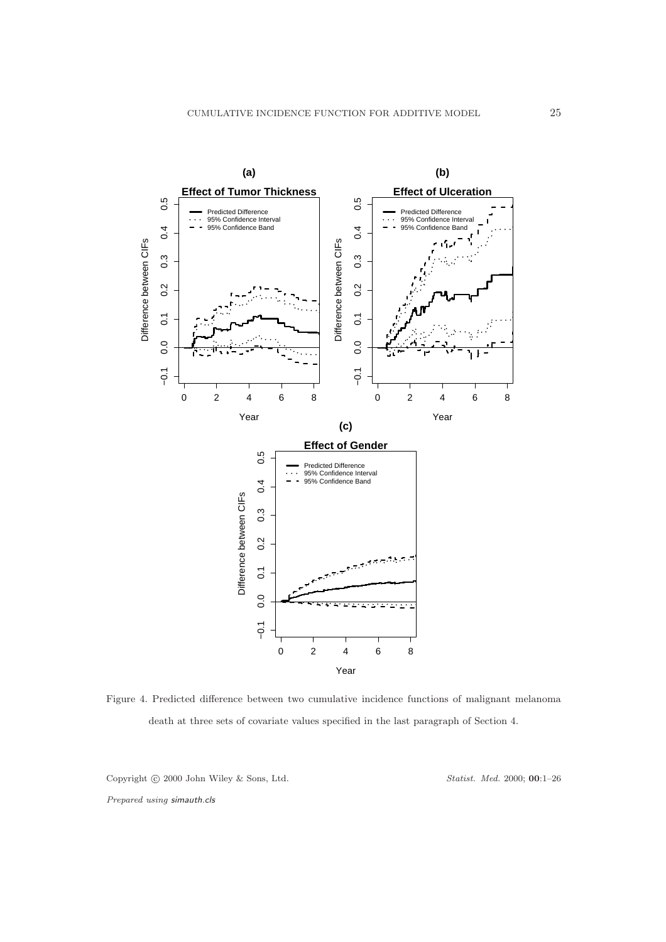

Figure 4. Predicted difference between two cumulative incidence functions of malignant melanoma death at three sets of covariate values specified in the last paragraph of Section 4.

Copyright © 2000 John Wiley & Sons, Ltd. Statist. Med. 2000; 00:1-26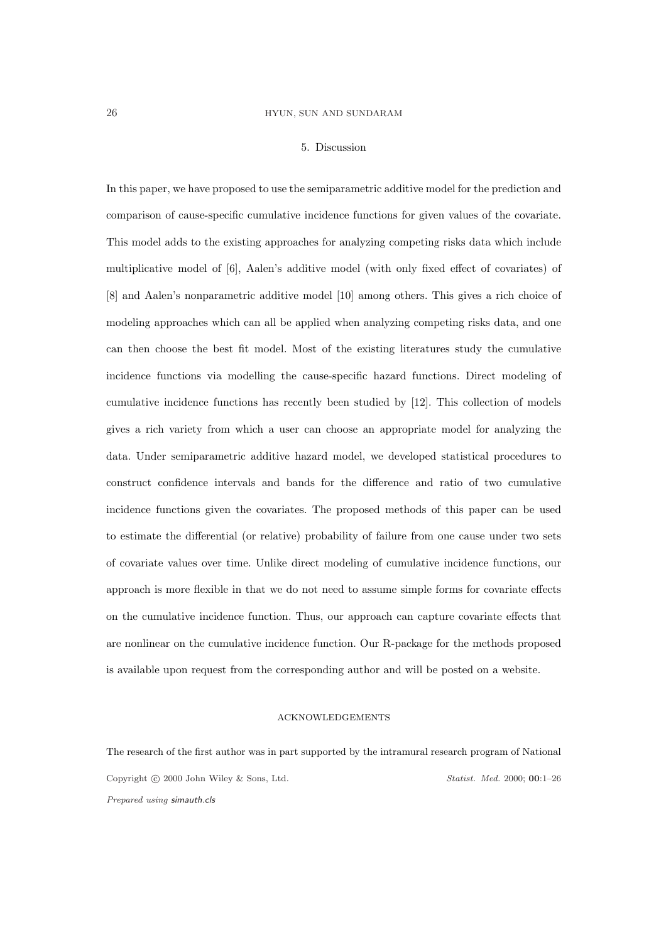#### 5. Discussion

In this paper, we have proposed to use the semiparametric additive model for the prediction and comparison of cause-specific cumulative incidence functions for given values of the covariate. This model adds to the existing approaches for analyzing competing risks data which include multiplicative model of [6], Aalen's additive model (with only fixed effect of covariates) of [8] and Aalen's nonparametric additive model [10] among others. This gives a rich choice of modeling approaches which can all be applied when analyzing competing risks data, and one can then choose the best fit model. Most of the existing literatures study the cumulative incidence functions via modelling the cause-specific hazard functions. Direct modeling of cumulative incidence functions has recently been studied by [12]. This collection of models gives a rich variety from which a user can choose an appropriate model for analyzing the data. Under semiparametric additive hazard model, we developed statistical procedures to construct confidence intervals and bands for the difference and ratio of two cumulative incidence functions given the covariates. The proposed methods of this paper can be used to estimate the differential (or relative) probability of failure from one cause under two sets of covariate values over time. Unlike direct modeling of cumulative incidence functions, our approach is more flexible in that we do not need to assume simple forms for covariate effects on the cumulative incidence function. Thus, our approach can capture covariate effects that are nonlinear on the cumulative incidence function. Our R-package for the methods proposed is available upon request from the corresponding author and will be posted on a website.

# ACKNOWLEDGEMENTS

The research of the first author was in part supported by the intramural research program of National Copyright © 2000 John Wiley & Sons, Ltd. Statist. Med. 2000; 00:1-26 Prepared using simauth.cls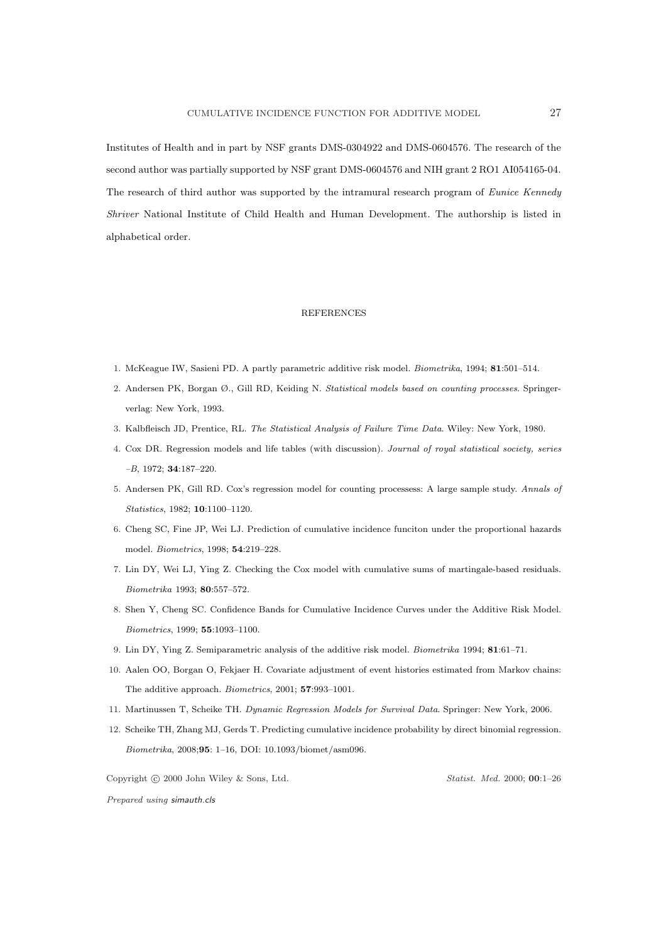Institutes of Health and in part by NSF grants DMS-0304922 and DMS-0604576. The research of the second author was partially supported by NSF grant DMS-0604576 and NIH grant 2 RO1 AI054165-04. The research of third author was supported by the intramural research program of Eunice Kennedy Shriver National Institute of Child Health and Human Development. The authorship is listed in alphabetical order.

#### **REFERENCES**

- 1. McKeague IW, Sasieni PD. A partly parametric additive risk model. Biometrika, 1994; 81:501–514.
- 2. Andersen PK, Borgan Ø., Gill RD, Keiding N. Statistical models based on counting processes. Springerverlag: New York, 1993.
- 3. Kalbfleisch JD, Prentice, RL. The Statistical Analysis of Failure Time Data. Wiley: New York, 1980.
- 4. Cox DR. Regression models and life tables (with discussion). Journal of royal statistical society, series –B, 1972; 34:187–220.
- 5. Andersen PK, Gill RD. Cox's regression model for counting processess: A large sample study. Annals of Statistics, 1982; 10:1100–1120.
- 6. Cheng SC, Fine JP, Wei LJ. Prediction of cumulative incidence funciton under the proportional hazards model. Biometrics, 1998; 54:219–228.
- 7. Lin DY, Wei LJ, Ying Z. Checking the Cox model with cumulative sums of martingale-based residuals. Biometrika 1993; 80:557–572.
- 8. Shen Y, Cheng SC. Confidence Bands for Cumulative Incidence Curves under the Additive Risk Model. Biometrics, 1999; 55:1093–1100.
- 9. Lin DY, Ying Z. Semiparametric analysis of the additive risk model. Biometrika 1994; 81:61–71.
- 10. Aalen OO, Borgan O, Fekjaer H. Covariate adjustment of event histories estimated from Markov chains: The additive approach. Biometrics, 2001; 57:993–1001.
- 11. Martinussen T, Scheike TH. Dynamic Regression Models for Survival Data. Springer: New York, 2006.
- 12. Scheike TH, Zhang MJ, Gerds T. Predicting cumulative incidence probability by direct binomial regression. Biometrika, 2008;95: 1–16, DOI: 10.1093/biomet/asm096.

Copyright © 2000 John Wiley & Sons, Ltd. Statist. Med. 2000; 00:1-26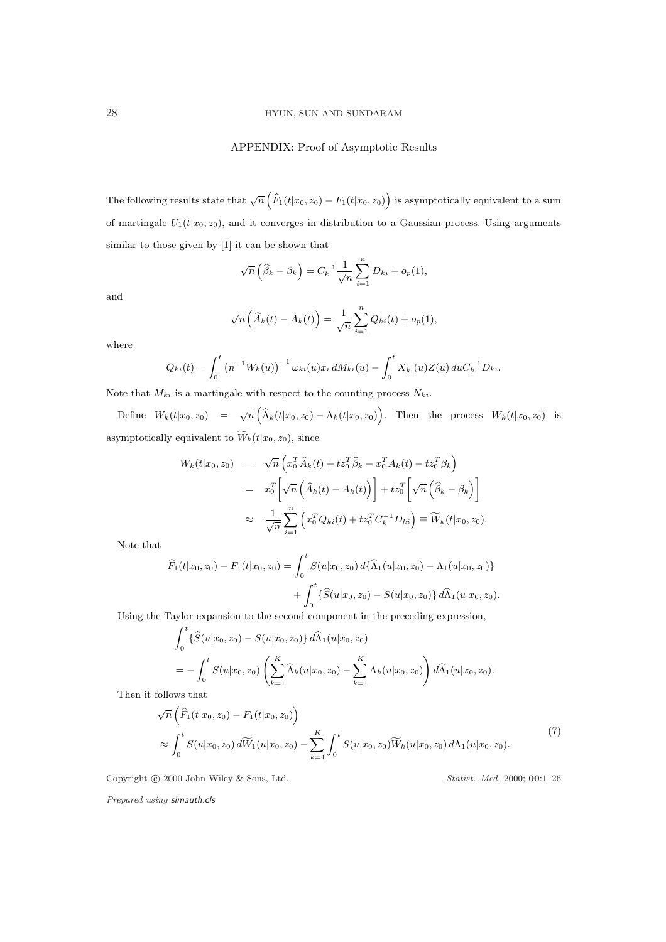## APPENDIX: Proof of Asymptotic Results

The following results state that  $\sqrt{n}$  $\left(\widehat{F}_1(t|x_0,z_0)-F_1(t|x_0,z_0)\right)$ is asymptotically equivalent to a sum of martingale  $U_1(t|x_0, z_0)$ , and it converges in distribution to a Gaussian process. Using arguments similar to those given by [1] it can be shown that

$$
\sqrt{n}\left(\widehat{\beta}_k-\beta_k\right)=C_k^{-1}\frac{1}{\sqrt{n}}\sum_{i=1}^n D_{ki}+o_p(1),
$$

and

$$
\sqrt{n}\left(\widehat{A}_k(t) - A_k(t)\right) = \frac{1}{\sqrt{n}} \sum_{i=1}^n Q_{ki}(t) + o_p(1),
$$

where

$$
Q_{ki}(t) = \int_0^t \left( n^{-1} W_k(u) \right)^{-1} \omega_{ki}(u) x_i dM_{ki}(u) - \int_0^t X_k^-(u) Z(u) d u C_k^{-1} D_{ki}.
$$

Note that  $M_{ki}$  is a martingale with respect to the counting process  $N_{ki}$ .

Define  $W_k(t|x_0, z_0) = \sqrt{n}$  $\left(\widehat{\Lambda}_k(t|x_0,z_0)-\Lambda_k(t|x_0,z_0)\right)$ . Then the process  $W_k(t|x_0, z_0)$  is asymptotically equivalent to  $\widetilde{W}_k(t|x_0, z_0)$ , since

$$
W_k(t|x_0, z_0) = \sqrt{n} \left( x_0^T \widehat{A}_k(t) + t z_0^T \widehat{\beta}_k - x_0^T A_k(t) - t z_0^T \beta_k \right)
$$
  

$$
= x_0^T \left[ \sqrt{n} \left( \widehat{A}_k(t) - A_k(t) \right) \right] + t z_0^T \left[ \sqrt{n} \left( \widehat{\beta}_k - \beta_k \right) \right]
$$
  

$$
\approx \frac{1}{\sqrt{n}} \sum_{i=1}^n \left( x_0^T Q_{ki}(t) + t z_0^T C_k^{-1} D_{ki} \right) \equiv \widetilde{W}_k(t|x_0, z_0).
$$

Note that

$$
\widehat{F}_1(t|x_0, z_0) - F_1(t|x_0, z_0) = \int_0^t S(u|x_0, z_0) d\{\widehat{\Lambda}_1(u|x_0, z_0) - \Lambda_1(u|x_0, z_0)\} + \int_0^t \{\widehat{S}(u|x_0, z_0) - S(u|x_0, z_0)\} d\widehat{\Lambda}_1(u|x_0, z_0).
$$

Using the Taylor expansion to the second component in the preceding expression,  $\frac{t}{c}$ 

$$
\int_0^{\infty} {\{\widehat{S}(u|x_0, z_0) - S(u|x_0, z_0)\} \, d\widehat{\Lambda}_1(u|x_0, z_0)}\n= - \int_0^t S(u|x_0, z_0) \left( \sum_{k=1}^K \widehat{\Lambda}_k(u|x_0, z_0) - \sum_{k=1}^K \Lambda_k(u|x_0, z_0) \right) d\widehat{\Lambda}_1(u|x_0, z_0).
$$

Then it follows that

$$
\sqrt{n}\left(\widehat{F}_1(t|x_0, z_0) - F_1(t|x_0, z_0)\right)
$$
\n
$$
\approx \int_0^t S(u|x_0, z_0) d\widetilde{W}_1(u|x_0, z_0) - \sum_{k=1}^K \int_0^t S(u|x_0, z_0) \widetilde{W}_k(u|x_0, z_0) d\Lambda_1(u|x_0, z_0).
$$
\n(7)

Copyright © 2000 John Wiley & Sons, Ltd. Statist. Med. 2000; 00:1-26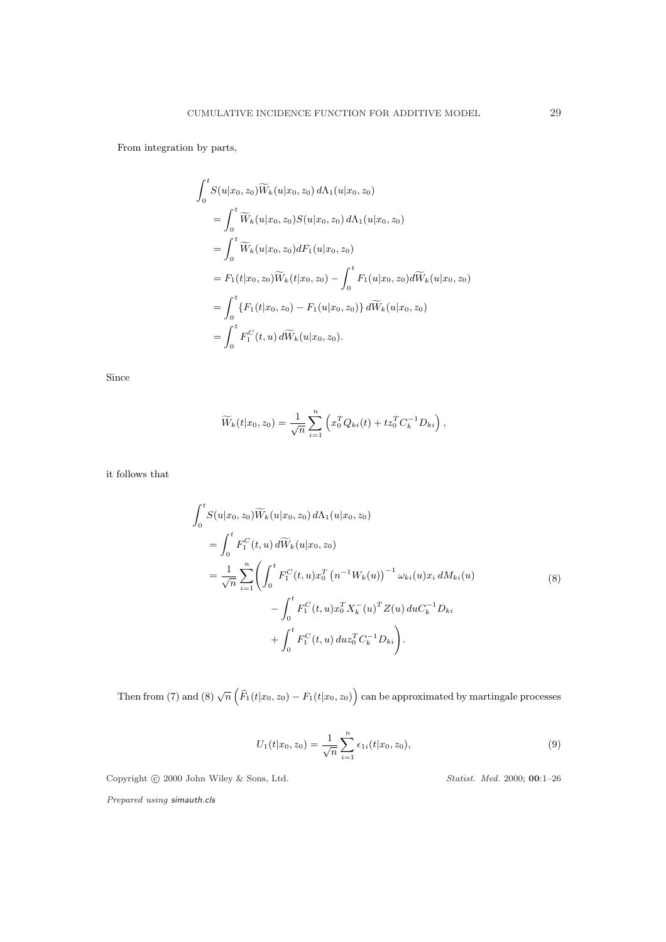From integration by parts,

$$
\int_0^t S(u|x_0, z_0) \widetilde{W}_k(u|x_0, z_0) d\Lambda_1(u|x_0, z_0)
$$
  
= 
$$
\int_0^t \widetilde{W}_k(u|x_0, z_0) S(u|x_0, z_0) d\Lambda_1(u|x_0, z_0)
$$
  
= 
$$
\int_0^t \widetilde{W}_k(u|x_0, z_0) dF_1(u|x_0, z_0)
$$
  
= 
$$
F_1(t|x_0, z_0) \widetilde{W}_k(t|x_0, z_0) - \int_0^t F_1(u|x_0, z_0) d\widetilde{W}_k(u|x_0, z_0)
$$
  
= 
$$
\int_0^t \{F_1(t|x_0, z_0) - F_1(u|x_0, z_0)\} d\widetilde{W}_k(u|x_0, z_0)
$$
  
= 
$$
\int_0^t F_1^C(t, u) d\widetilde{W}_k(u|x_0, z_0).
$$

Since

$$
\widetilde{W}_k(t|x_0, z_0) = \frac{1}{\sqrt{n}} \sum_{i=1}^n \left( x_0^T Q_{ki}(t) + t z_0^T C_k^{-1} D_{ki} \right),
$$

it follows that

$$
\int_{0}^{t} S(u|x_{0}, z_{0}) \widetilde{W}_{k}(u|x_{0}, z_{0}) d\Lambda_{1}(u|x_{0}, z_{0})
$$
\n
$$
= \int_{0}^{t} F_{1}^{C}(t, u) d\widetilde{W}_{k}(u|x_{0}, z_{0})
$$
\n
$$
= \frac{1}{\sqrt{n}} \sum_{i=1}^{n} \left( \int_{0}^{t} F_{1}^{C}(t, u) x_{0}^{T} (n^{-1} W_{k}(u))^{-1} \omega_{ki}(u) x_{i} dM_{ki}(u) - \int_{0}^{t} F_{1}^{C}(t, u) x_{0}^{T} X_{k}^{-}(u)^{T} Z(u) du C_{k}^{-1} D_{ki} + \int_{0}^{t} F_{1}^{C}(t, u) du z_{0}^{T} C_{k}^{-1} D_{ki} \right).
$$
\n(8)

Then from (7) and (8)  $\sqrt{n}$  $\left(\widehat{F}_1(t|x_0,z_0)-F_1(t|x_0,z_0)\right)$ can be approximated by martingale processes

$$
U_1(t|x_0, z_0) = \frac{1}{\sqrt{n}} \sum_{i=1}^n \epsilon_{1i}(t|x_0, z_0), \tag{9}
$$

Copyright © 2000 John Wiley & Sons, Ltd. Statist. Med. 2000; 00:1-26